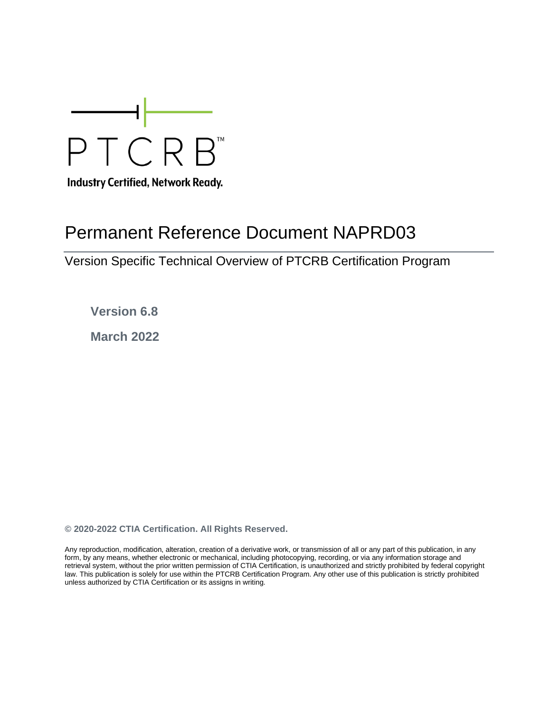

**Industry Certified, Network Ready.** 

# Permanent Reference Document NAPRD03

Version Specific Technical Overview of PTCRB Certification Program

**Version 6.8**

**March 2022**

**© 2020-2022 CTIA Certification. All Rights Reserved.**

Any reproduction, modification, alteration, creation of a derivative work, or transmission of all or any part of this publication, in any form, by any means, whether electronic or mechanical, including photocopying, recording, or via any information storage and retrieval system, without the prior written permission of CTIA Certification, is unauthorized and strictly prohibited by federal copyright law. This publication is solely for use within the PTCRB Certification Program. Any other use of this publication is strictly prohibited unless authorized by CTIA Certification or its assigns in writing.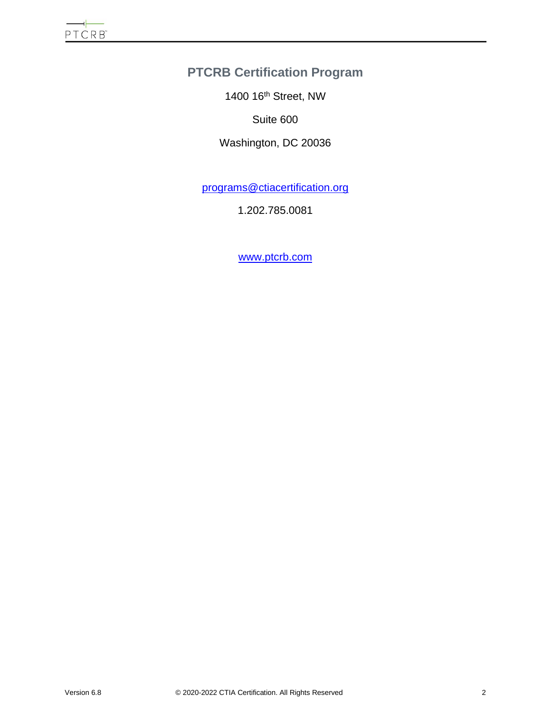# **PTCRB Certification Program**

1400 16th Street, NW

Suite 600

Washington, DC 20036

[programs@ctiacertification.org](mailto:programs@ctiacertification.org)

1.202.785.0081

[www.ptcrb.com](http://www.ptcrb.com/)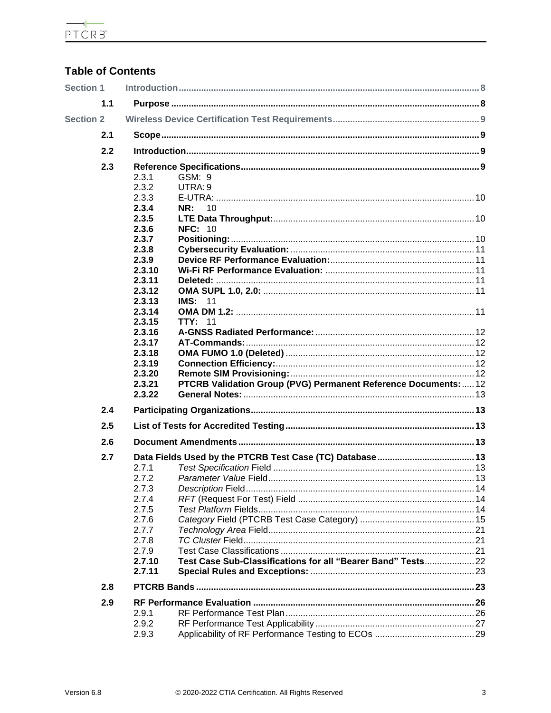$\begin{array}{c}\n\hline\n\leftarrow\n\end{array}$  PTCRB

# **Table of Contents**

| <b>Section 1</b> |     |                  |                                                                 |  |
|------------------|-----|------------------|-----------------------------------------------------------------|--|
|                  | 1.1 |                  |                                                                 |  |
| <b>Section 2</b> |     |                  |                                                                 |  |
|                  | 2.1 |                  |                                                                 |  |
| 2.2              |     |                  |                                                                 |  |
|                  | 2.3 |                  |                                                                 |  |
|                  |     | 2.3.1            | GSM: 9                                                          |  |
|                  |     | 2.3.2<br>2.3.3   | UTRA: 9                                                         |  |
|                  |     | 2.3.4            | 10<br>NR:                                                       |  |
|                  |     | 2.3.5            |                                                                 |  |
|                  |     | 2.3.6            | <b>NFC: 10</b>                                                  |  |
|                  |     | 2.3.7            |                                                                 |  |
|                  |     | 2.3.8            |                                                                 |  |
|                  |     | 2.3.9            |                                                                 |  |
|                  |     | 2.3.10           |                                                                 |  |
|                  |     | 2.3.11           |                                                                 |  |
|                  |     | 2.3.12           |                                                                 |  |
|                  |     | 2.3.13           | <b>IMS: 11</b>                                                  |  |
|                  |     | 2.3.14           |                                                                 |  |
|                  |     | 2.3.15           | <b>TTY: 11</b>                                                  |  |
|                  |     | 2.3.16           |                                                                 |  |
|                  |     | 2.3.17           |                                                                 |  |
|                  |     | 2.3.18           |                                                                 |  |
|                  |     | 2.3.19<br>2.3.20 |                                                                 |  |
|                  |     | 2.3.21           | PTCRB Validation Group (PVG) Permanent Reference Documents:  12 |  |
|                  |     | 2.3.22           |                                                                 |  |
|                  | 2.4 |                  |                                                                 |  |
|                  | 2.5 |                  |                                                                 |  |
|                  | 2.6 |                  |                                                                 |  |
|                  | 2.7 |                  |                                                                 |  |
|                  |     | 2.7.1            |                                                                 |  |
|                  |     | 2.7.2            |                                                                 |  |
|                  |     | 2.7.3            |                                                                 |  |
|                  |     | 2.7.4            |                                                                 |  |
|                  |     | 2.7.5            |                                                                 |  |
|                  |     | 2.7.6            |                                                                 |  |
|                  |     | 2.7.7            |                                                                 |  |
|                  |     | 2.7.8<br>2.7.9   |                                                                 |  |
|                  |     | 2.7.10           | Test Case Sub-Classifications for all "Bearer Band" Tests22     |  |
|                  |     | 2.7.11           |                                                                 |  |
|                  | 2.8 |                  |                                                                 |  |
|                  | 2.9 |                  |                                                                 |  |
|                  |     | 2.9.1            |                                                                 |  |
|                  |     |                  |                                                                 |  |
|                  |     | 2.9.2            |                                                                 |  |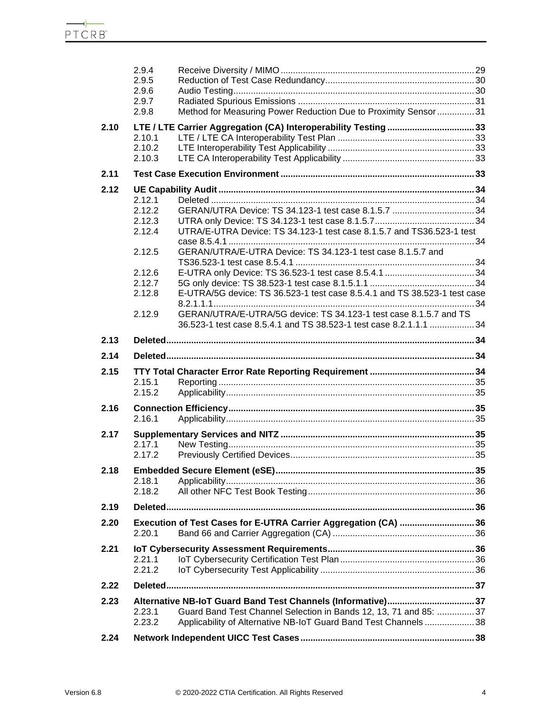|      | 2.9.4<br>2.9.5<br>2.9.6 |                                                                                                                                 |  |
|------|-------------------------|---------------------------------------------------------------------------------------------------------------------------------|--|
|      | 2.9.7                   |                                                                                                                                 |  |
|      | 2.9.8                   | Method for Measuring Power Reduction Due to Proximity Sensor31                                                                  |  |
| 2.10 |                         |                                                                                                                                 |  |
|      | 2.10.1                  |                                                                                                                                 |  |
|      | 2.10.2<br>2.10.3        |                                                                                                                                 |  |
| 2.11 |                         |                                                                                                                                 |  |
| 2.12 |                         |                                                                                                                                 |  |
|      | 2.12.1                  |                                                                                                                                 |  |
|      | 2.12.2                  |                                                                                                                                 |  |
|      | 2.12.3                  |                                                                                                                                 |  |
|      | 2.12.4                  | UTRA/E-UTRA Device: TS 34.123-1 test case 8.1.5.7 and TS36.523-1 test                                                           |  |
|      | 2.12.5                  | GERAN/UTRA/E-UTRA Device: TS 34.123-1 test case 8.1.5.7 and                                                                     |  |
|      |                         |                                                                                                                                 |  |
|      | 2.12.6                  |                                                                                                                                 |  |
|      | 2.12.7                  |                                                                                                                                 |  |
|      | 2.12.8                  | E-UTRA/5G device: TS 36.523-1 test case 8.5.4.1 and TS 38.523-1 test case                                                       |  |
|      | 2.12.9                  | GERAN/UTRA/E-UTRA/5G device: TS 34.123-1 test case 8.1.5.7 and TS                                                               |  |
|      |                         | 36.523-1 test case 8.5.4.1 and TS 38.523-1 test case 8.2.1.1.1 34                                                               |  |
| 2.13 |                         |                                                                                                                                 |  |
|      |                         |                                                                                                                                 |  |
| 2.14 |                         |                                                                                                                                 |  |
| 2.15 |                         |                                                                                                                                 |  |
|      | 2.15.1                  |                                                                                                                                 |  |
|      | 2.15.2                  |                                                                                                                                 |  |
| 2.16 |                         |                                                                                                                                 |  |
|      | 2.16.1                  |                                                                                                                                 |  |
|      |                         |                                                                                                                                 |  |
| 2.17 | 2.17.1                  |                                                                                                                                 |  |
|      | 2.17.2                  |                                                                                                                                 |  |
| 2.18 |                         |                                                                                                                                 |  |
|      | 2.18.1                  |                                                                                                                                 |  |
|      | 2.18.2                  |                                                                                                                                 |  |
| 2.19 |                         |                                                                                                                                 |  |
| 2.20 |                         |                                                                                                                                 |  |
|      | 2.20.1                  | Execution of Test Cases for E-UTRA Carrier Aggregation (CA)  36                                                                 |  |
| 2.21 |                         |                                                                                                                                 |  |
|      | 2.21.1                  |                                                                                                                                 |  |
|      | 2.21.2                  |                                                                                                                                 |  |
| 2.22 |                         |                                                                                                                                 |  |
| 2.23 |                         |                                                                                                                                 |  |
|      | 2.23.1                  | Alternative NB-IoT Guard Band Test Channels (Informative)37<br>Guard Band Test Channel Selection in Bands 12, 13, 71 and 85: 37 |  |
|      | 2.23.2                  | Applicability of Alternative NB-IoT Guard Band Test Channels38                                                                  |  |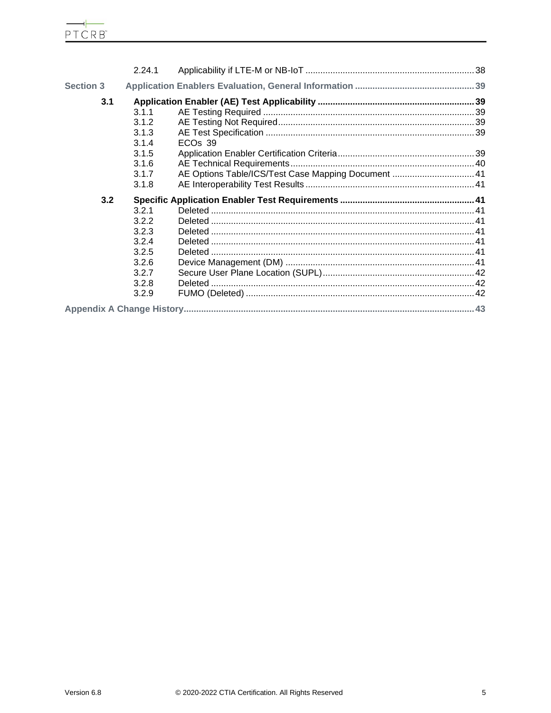|                  | 2.24.1 |                                                     |  |
|------------------|--------|-----------------------------------------------------|--|
| <b>Section 3</b> |        |                                                     |  |
| 3.1              |        |                                                     |  |
|                  | 3.1.1  |                                                     |  |
|                  | 3.1.2  |                                                     |  |
|                  | 3.1.3  |                                                     |  |
|                  | 3.1.4  | ECO <sub>s</sub> 39                                 |  |
|                  | 3.1.5  |                                                     |  |
|                  | 3.1.6  |                                                     |  |
|                  | 3.1.7  | AE Options Table/ICS/Test Case Mapping Document  41 |  |
|                  | 3.1.8  |                                                     |  |
| 3.2              |        |                                                     |  |
|                  | 3.2.1  |                                                     |  |
|                  | 3.2.2  |                                                     |  |
|                  | 3.2.3  |                                                     |  |
|                  | 3.2.4  |                                                     |  |
|                  | 3.2.5  |                                                     |  |
|                  | 3.2.6  |                                                     |  |
|                  | 3.2.7  |                                                     |  |
|                  | 3.2.8  |                                                     |  |
|                  | 3.2.9  |                                                     |  |
|                  |        |                                                     |  |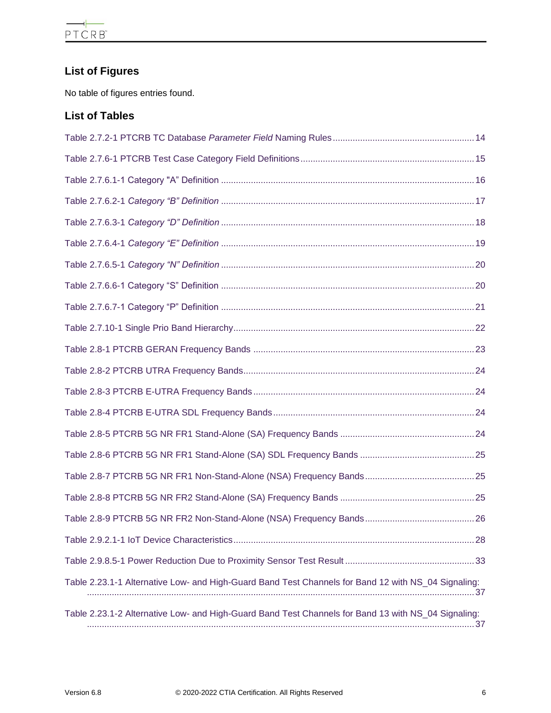# **List of Figures**

No table of figures entries found.

# **List of Tables**

| Table 2.23.1-1 Alternative Low- and High-Guard Band Test Channels for Band 12 with NS_04 Signaling: |
|-----------------------------------------------------------------------------------------------------|
| Table 2.23.1-2 Alternative Low- and High-Guard Band Test Channels for Band 13 with NS_04 Signaling: |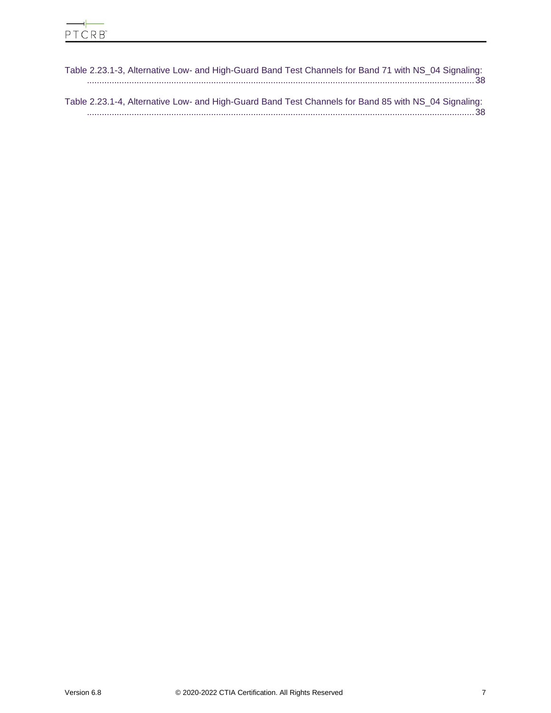| Table 2.23.1-3, Alternative Low- and High-Guard Band Test Channels for Band 71 with NS_04 Signaling: |  |
|------------------------------------------------------------------------------------------------------|--|
|                                                                                                      |  |
| Table 2.23.1-4, Alternative Low- and High-Guard Band Test Channels for Band 85 with NS 04 Signaling: |  |
|                                                                                                      |  |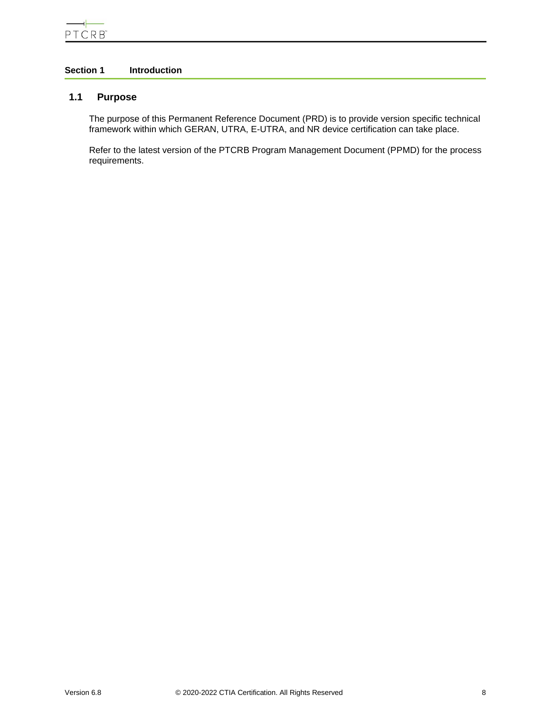# <span id="page-7-1"></span><span id="page-7-0"></span>**Section 1 Introduction**

# **1.1 Purpose**

The purpose of this Permanent Reference Document (PRD) is to provide version specific technical framework within which GERAN, UTRA, E-UTRA, and NR device certification can take place.

Refer to the latest version of the PTCRB Program Management Document (PPMD) for the process requirements.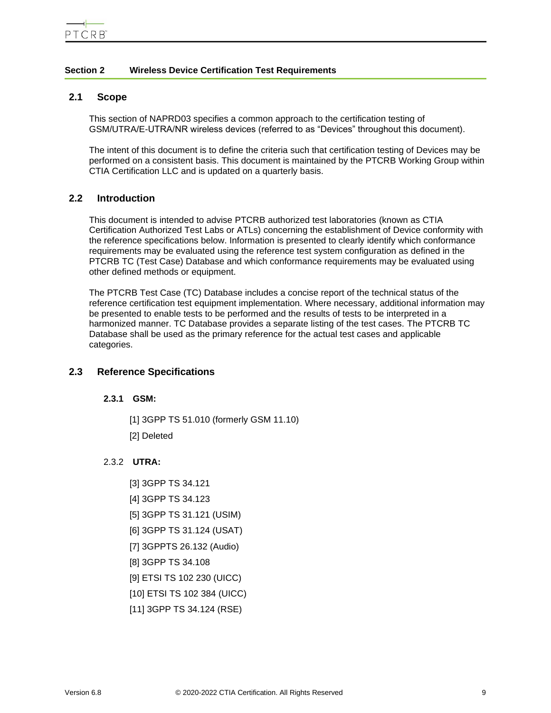## <span id="page-8-0"></span>**Section 2 Wireless Device Certification Test Requirements**

#### <span id="page-8-1"></span>**2.1 Scope**

This section of NAPRD03 specifies a common approach to the certification testing of GSM/UTRA/E-UTRA/NR wireless devices (referred to as "Devices" throughout this document).

The intent of this document is to define the criteria such that certification testing of Devices may be performed on a consistent basis. This document is maintained by the PTCRB Working Group within CTIA Certification LLC and is updated on a quarterly basis.

## <span id="page-8-2"></span>**2.2 Introduction**

This document is intended to advise PTCRB authorized test laboratories (known as CTIA Certification Authorized Test Labs or ATLs) concerning the establishment of Device conformity with the reference specifications below. Information is presented to clearly identify which conformance requirements may be evaluated using the reference test system configuration as defined in the PTCRB TC (Test Case) Database and which conformance requirements may be evaluated using other defined methods or equipment.

The PTCRB Test Case (TC) Database includes a concise report of the technical status of the reference certification test equipment implementation. Where necessary, additional information may be presented to enable tests to be performed and the results of tests to be interpreted in a harmonized manner. TC Database provides a separate listing of the test cases. The PTCRB TC Database shall be used as the primary reference for the actual test cases and applicable categories.

## <span id="page-8-4"></span><span id="page-8-3"></span>**2.3 Reference Specifications**

#### **2.3.1 GSM:**

[1] 3GPP TS 51.010 (formerly GSM 11.10) [2] Deleted

#### <span id="page-8-5"></span>2.3.2 **UTRA:**

- [3] 3GPP TS 34.121
- [4] 3GPP TS 34.123
- [5] 3GPP TS 31.121 (USIM)
- [6] 3GPP TS 31.124 (USAT)
- [7] 3GPPTS 26.132 (Audio)
- [8] 3GPP TS 34.108
- [9] ETSI TS 102 230 (UICC)
- [10] ETSI TS 102 384 (UICC)
- [11] 3GPP TS 34.124 (RSE)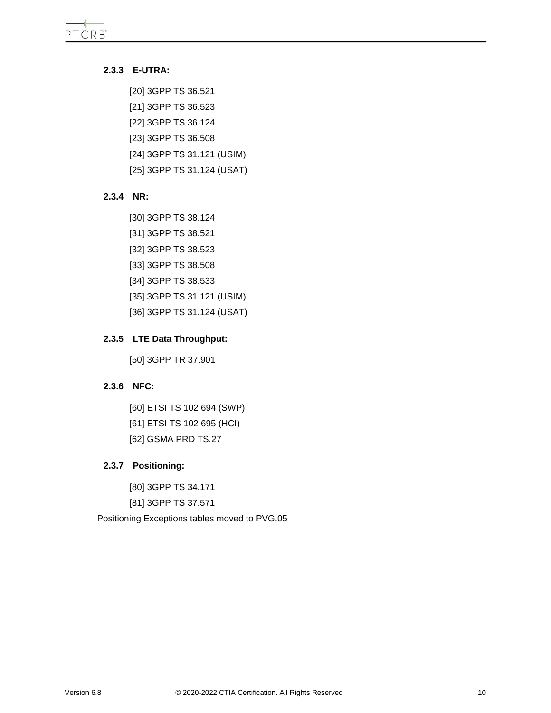## <span id="page-9-0"></span>**2.3.3 E-UTRA:**

[20] 3GPP TS 36.521 [21] 3GPP TS 36.523 [22] 3GPP TS 36.124 [23] 3GPP TS 36.508 [24] 3GPP TS 31.121 (USIM) [25] 3GPP TS 31.124 (USAT)

#### <span id="page-9-1"></span>**2.3.4 NR:**

[30] 3GPP TS 38.124 [31] 3GPP TS 38.521 [32] 3GPP TS 38.523 [33] 3GPP TS 38.508 [34] 3GPP TS 38.533 [35] 3GPP TS 31.121 (USIM) [36] 3GPP TS 31.124 (USAT)

## <span id="page-9-2"></span>**2.3.5 LTE Data Throughput:**

[50] 3GPP TR 37.901

# <span id="page-9-3"></span>**2.3.6 NFC:**

[60] ETSI TS 102 694 (SWP) [61] ETSI TS 102 695 (HCI) [62] GSMA PRD TS.27

## <span id="page-9-4"></span>**2.3.7 Positioning:**

[80] 3GPP TS 34.171 [81] 3GPP TS 37.571

Positioning Exceptions tables moved to PVG.05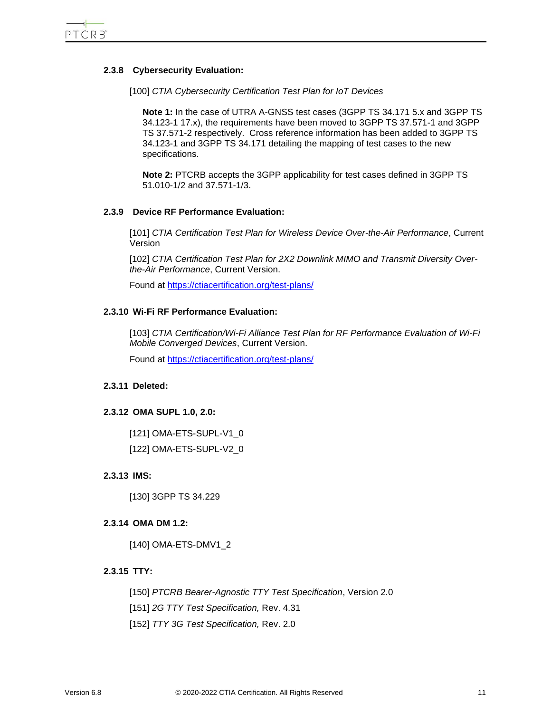#### <span id="page-10-0"></span>**2.3.8 Cybersecurity Evaluation:**

[100] *CTIA Cybersecurity Certification Test Plan for IoT Devices*

**Note 1:** In the case of UTRA A-GNSS test cases (3GPP TS 34.171 5.x and 3GPP TS 34.123-1 17.x), the requirements have been moved to 3GPP TS 37.571-1 and 3GPP TS 37.571-2 respectively. Cross reference information has been added to 3GPP TS 34.123-1 and 3GPP TS 34.171 detailing the mapping of test cases to the new specifications.

**Note 2:** PTCRB accepts the 3GPP applicability for test cases defined in 3GPP TS 51.010-1/2 and 37.571-1/3.

#### <span id="page-10-1"></span>**2.3.9 Device RF Performance Evaluation:**

[101] *CTIA Certification Test Plan for Wireless Device Over-the-Air Performance*, Current Version

[102] *CTIA Certification Test Plan for 2X2 Downlink MIMO and Transmit Diversity Overthe-Air Performance*, Current Version.

Found at<https://ctiacertification.org/test-plans/>

#### <span id="page-10-2"></span>**2.3.10 Wi-Fi RF Performance Evaluation:**

[103] *CTIA Certification/Wi-Fi Alliance Test Plan for RF Performance Evaluation of Wi-Fi Mobile Converged Devices*, Current Version.

Found at<https://ctiacertification.org/test-plans/>

#### <span id="page-10-3"></span>**2.3.11 Deleted:**

#### <span id="page-10-4"></span>**2.3.12 OMA SUPL 1.0, 2.0:**

[121] OMA-ETS-SUPL-V1\_0 [122] OMA-ETS-SUPL-V2\_0

#### <span id="page-10-5"></span>**2.3.13 IMS:**

[130] 3GPP TS 34.229

#### <span id="page-10-6"></span>**2.3.14 OMA DM 1.2:**

[140] OMA-ETS-DMV1\_2

#### <span id="page-10-7"></span>**2.3.15 TTY:**

[150] *PTCRB Bearer-Agnostic TTY Test Specification*, Version 2.0 [151] *2G TTY Test Specification,* Rev. 4.31 [152] *TTY 3G Test Specification,* Rev. 2.0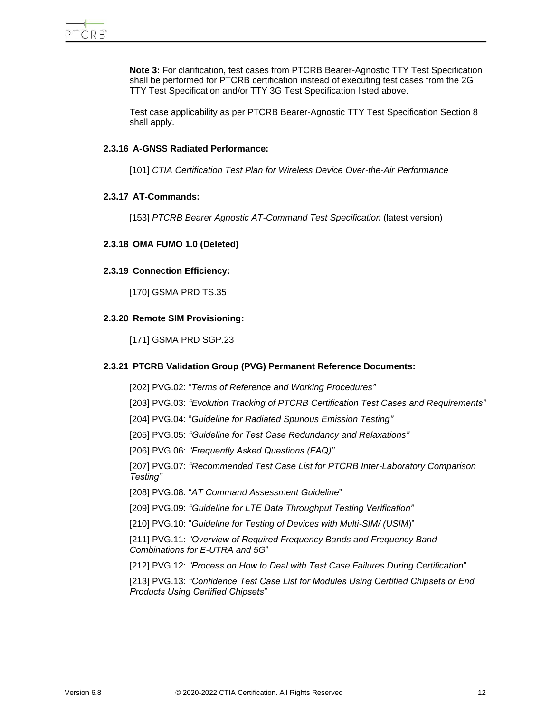**Note 3:** For clarification, test cases from PTCRB Bearer-Agnostic TTY Test Specification shall be performed for PTCRB certification instead of executing test cases from the 2G TTY Test Specification and/or TTY 3G Test Specification listed above.

Test case applicability as per PTCRB Bearer-Agnostic TTY Test Specification Section 8 shall apply.

## <span id="page-11-0"></span>**2.3.16 A-GNSS Radiated Performance:**

[101] *CTIA Certification Test Plan for Wireless Device Over-the-Air Performance*

#### <span id="page-11-1"></span>**2.3.17 AT-Commands:**

[153] *PTCRB Bearer Agnostic AT-Command Test Specification* (latest version)

#### <span id="page-11-2"></span>**2.3.18 OMA FUMO 1.0 (Deleted)**

#### <span id="page-11-3"></span>**2.3.19 Connection Efficiency:**

[170] GSMA PRD TS.35

## <span id="page-11-4"></span>**2.3.20 Remote SIM Provisioning:**

[171] GSMA PRD SGP.23

*Products Using Certified Chipsets"*

## <span id="page-11-5"></span>**2.3.21 PTCRB Validation Group (PVG) Permanent Reference Documents:**

[202] PVG.02: "*Terms of Reference and Working Procedures"* [203] PVG.03: *"Evolution Tracking of PTCRB Certification Test Cases and Requirements"* [204] PVG.04: "*Guideline for Radiated Spurious Emission Testing"* [205] PVG.05: *"Guideline for Test Case Redundancy and Relaxations"* [206] PVG.06: *"Frequently Asked Questions (FAQ)"* [207] PVG.07: *"Recommended Test Case List for PTCRB Inter-Laboratory Comparison Testing"* [208] PVG.08: "*AT Command Assessment Guideline*" [209] PVG.09: *"Guideline for LTE Data Throughput Testing Verification"* [210] PVG.10: "*Guideline for Testing of Devices with Multi-SIM/ (USIM*)" [211] PVG.11: *"Overview of Required Frequency Bands and Frequency Band Combinations for E-UTRA and 5G*" [212] PVG.12: *"Process on How to Deal with Test Case Failures During Certification*" [213] PVG.13: *"Confidence Test Case List for Modules Using Certified Chipsets or End*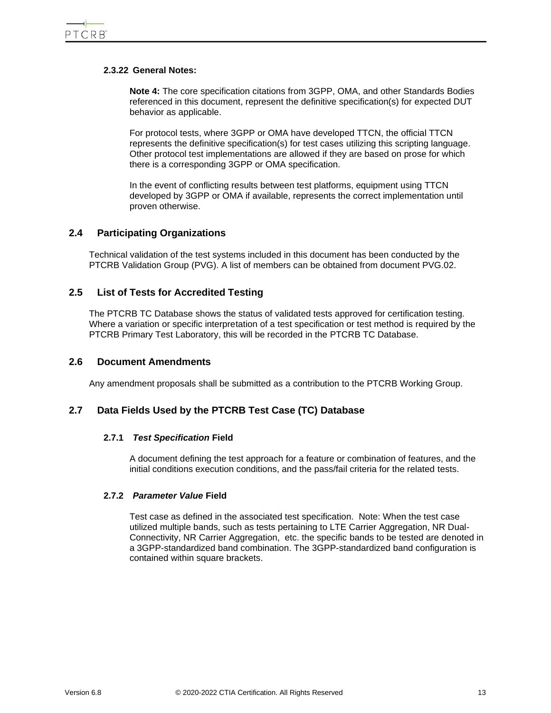#### <span id="page-12-0"></span>**2.3.22 General Notes:**

**Note 4:** The core specification citations from 3GPP, OMA, and other Standards Bodies referenced in this document, represent the definitive specification(s) for expected DUT behavior as applicable.

For protocol tests, where 3GPP or OMA have developed TTCN, the official TTCN represents the definitive specification(s) for test cases utilizing this scripting language. Other protocol test implementations are allowed if they are based on prose for which there is a corresponding 3GPP or OMA specification.

In the event of conflicting results between test platforms, equipment using TTCN developed by 3GPP or OMA if available, represents the correct implementation until proven otherwise.

## <span id="page-12-1"></span>**2.4 Participating Organizations**

Technical validation of the test systems included in this document has been conducted by the PTCRB Validation Group (PVG). A list of members can be obtained from document PVG.02.

## <span id="page-12-2"></span>**2.5 List of Tests for Accredited Testing**

The PTCRB TC Database shows the status of validated tests approved for certification testing. Where a variation or specific interpretation of a test specification or test method is required by the PTCRB Primary Test Laboratory, this will be recorded in the PTCRB TC Database.

### <span id="page-12-3"></span>**2.6 Document Amendments**

Any amendment proposals shall be submitted as a contribution to the PTCRB Working Group.

## <span id="page-12-5"></span><span id="page-12-4"></span>**2.7 Data Fields Used by the PTCRB Test Case (TC) Database**

#### **2.7.1** *Test Specification* **Field**

A document defining the test approach for a feature or combination of features, and the initial conditions execution conditions, and the pass/fail criteria for the related tests.

#### <span id="page-12-6"></span>**2.7.2** *Parameter Value* **Field**

Test case as defined in the associated test specification. Note: When the test case utilized multiple bands, such as tests pertaining to LTE Carrier Aggregation, NR Dual-Connectivity, NR Carrier Aggregation, etc. the specific bands to be tested are denoted in a 3GPP-standardized band combination. The 3GPP-standardized band configuration is contained within square brackets.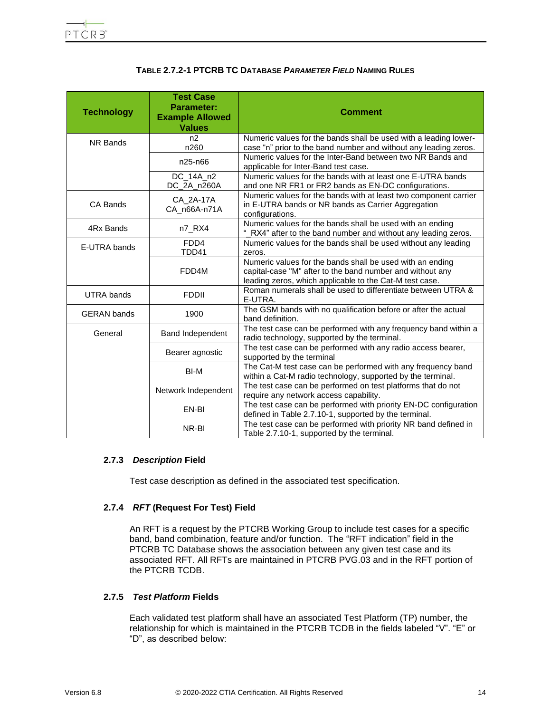| <b>TABLE 2.7.2-1 PTCRB TC DATABASE PARAMETER FIELD NAMING RULES</b> |  |
|---------------------------------------------------------------------|--|
|---------------------------------------------------------------------|--|

<span id="page-13-3"></span>

| <b>Technology</b>  | <b>Test Case</b><br>Parameter:<br><b>Example Allowed</b><br><b>Values</b> | <b>Comment</b>                                                                                                                                                                    |
|--------------------|---------------------------------------------------------------------------|-----------------------------------------------------------------------------------------------------------------------------------------------------------------------------------|
| NR Bands           | n <sub>2</sub><br>n260                                                    | Numeric values for the bands shall be used with a leading lower-<br>case "n" prior to the band number and without any leading zeros.                                              |
|                    | n25-n66                                                                   | Numeric values for the Inter-Band between two NR Bands and<br>applicable for Inter-Band test case.                                                                                |
|                    | DC_14A_n2<br>DC_2A_n260A                                                  | Numeric values for the bands with at least one E-UTRA bands<br>and one NR FR1 or FR2 bands as EN-DC configurations.                                                               |
| CA Bands           | CA_2A-17A<br>CA_n66A-n71A                                                 | Numeric values for the bands with at least two component carrier<br>in E-UTRA bands or NR bands as Carrier Aggregation<br>configurations.                                         |
| 4Rx Bands          | n7_RX4                                                                    | Numeric values for the bands shall be used with an ending<br>RX4" after to the band number and without any leading zeros.                                                         |
| E-UTRA bands       | FDD4<br>TDD41                                                             | Numeric values for the bands shall be used without any leading<br>zeros.                                                                                                          |
|                    | FDD4M                                                                     | Numeric values for the bands shall be used with an ending<br>capital-case "M" after to the band number and without any<br>leading zeros, which applicable to the Cat-M test case. |
| <b>UTRA bands</b>  | <b>FDDII</b>                                                              | Roman numerals shall be used to differentiate between UTRA &<br>E-UTRA.                                                                                                           |
| <b>GERAN</b> bands | 1900                                                                      | The GSM bands with no qualification before or after the actual<br>band definition.                                                                                                |
| General            | <b>Band Independent</b>                                                   | The test case can be performed with any frequency band within a<br>radio technology, supported by the terminal.                                                                   |
|                    | Bearer agnostic                                                           | The test case can be performed with any radio access bearer,<br>supported by the terminal                                                                                         |
|                    | BI-M                                                                      | The Cat-M test case can be performed with any frequency band<br>within a Cat-M radio technology, supported by the terminal.                                                       |
|                    | Network Independent                                                       | The test case can be performed on test platforms that do not<br>require any network access capability.                                                                            |
|                    | EN-BI                                                                     | The test case can be performed with priority EN-DC configuration<br>defined in Table 2.7.10-1, supported by the terminal.                                                         |
|                    | NR-BI                                                                     | The test case can be performed with priority NR band defined in<br>Table 2.7.10-1, supported by the terminal.                                                                     |

## <span id="page-13-0"></span>**2.7.3** *Description* **Field**

Test case description as defined in the associated test specification.

## <span id="page-13-1"></span>**2.7.4** *RFT* **(Request For Test) Field**

An RFT is a request by the PTCRB Working Group to include test cases for a specific band, band combination, feature and/or function. The "RFT indication" field in the PTCRB TC Database shows the association between any given test case and its associated RFT. All RFTs are maintained in PTCRB PVG.03 and in the RFT portion of the PTCRB TCDB.

## <span id="page-13-2"></span>**2.7.5** *Test Platform* **Fields**

Each validated test platform shall have an associated Test Platform (TP) number, the relationship for which is maintained in the PTCRB TCDB in the fields labeled "V". "E" or "D", as described below: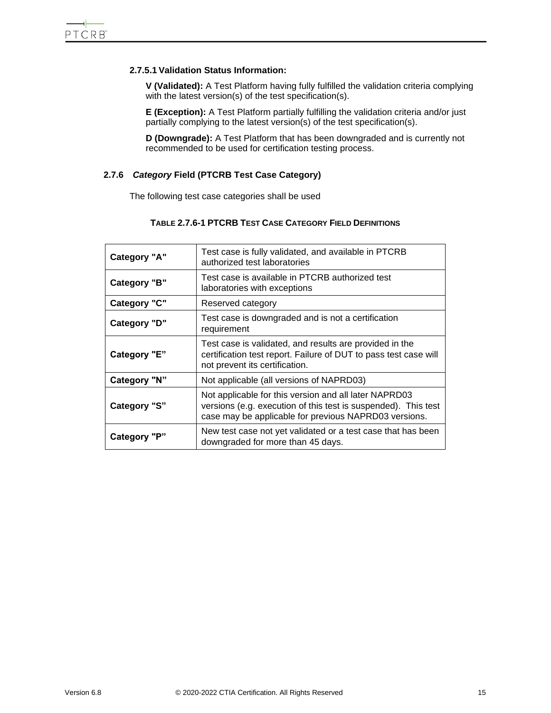## **2.7.5.1 Validation Status Information:**

**V (Validated):** A Test Platform having fully fulfilled the validation criteria complying with the latest version(s) of the test specification(s).

**E (Exception):** A Test Platform partially fulfilling the validation criteria and/or just partially complying to the latest version(s) of the test specification(s).

**D (Downgrade):** A Test Platform that has been downgraded and is currently not recommended to be used for certification testing process.

### <span id="page-14-1"></span><span id="page-14-0"></span>**2.7.6** *Category* **Field (PTCRB Test Case Category)**

The following test case categories shall be used

## **TABLE 2.7.6-1 PTCRB TEST CASE CATEGORY FIELD DEFINITIONS**

| <b>Category "A"</b> | Test case is fully validated, and available in PTCRB<br>authorized test laboratories                                                                                             |
|---------------------|----------------------------------------------------------------------------------------------------------------------------------------------------------------------------------|
| Category "B"        | Test case is available in PTCRB authorized test<br>laboratories with exceptions                                                                                                  |
| <b>Category "C"</b> | Reserved category                                                                                                                                                                |
| Category "D"        | Test case is downgraded and is not a certification<br>requirement                                                                                                                |
| Category "E"        | Test case is validated, and results are provided in the<br>certification test report. Failure of DUT to pass test case will<br>not prevent its certification.                    |
| Category "N"        | Not applicable (all versions of NAPRD03)                                                                                                                                         |
| <b>Category "S"</b> | Not applicable for this version and all later NAPRD03<br>versions (e.g. execution of this test is suspended). This test<br>case may be applicable for previous NAPRD03 versions. |
| Category "P"        | New test case not yet validated or a test case that has been<br>downgraded for more than 45 days.                                                                                |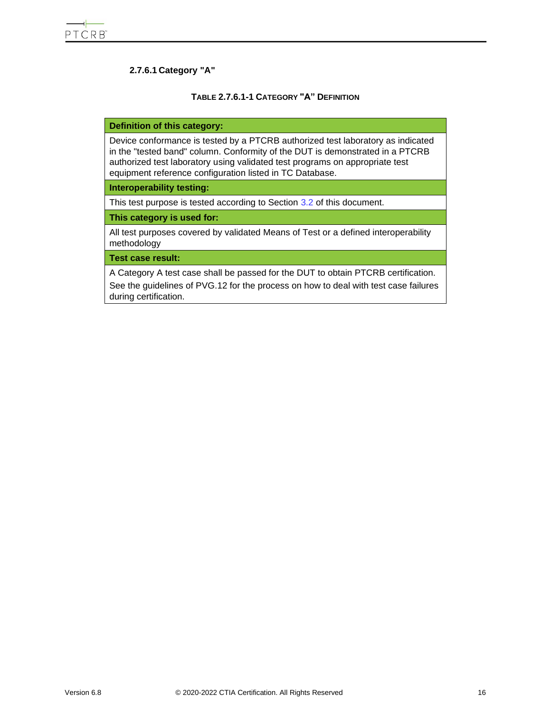## **2.7.6.1 Category "A"**

## **TABLE 2.7.6.1-1 CATEGORY "A" DEFINITION**

#### <span id="page-15-0"></span>**Definition of this category:**

Device conformance is tested by a PTCRB authorized test laboratory as indicated in the "tested band" column. Conformity of the DUT is demonstrated in a PTCRB authorized test laboratory using validated test programs on appropriate test equipment reference configuration listed in TC Database.

#### **Interoperability testing:**

This test purpose is tested according to Section [3.2](#page-40-2) of this document.

**This category is used for:**

All test purposes covered by validated Means of Test or a defined interoperability methodology

**Test case result:**

A Category A test case shall be passed for the DUT to obtain PTCRB certification. See the guidelines of PVG.12 for the process on how to deal with test case failures during certification.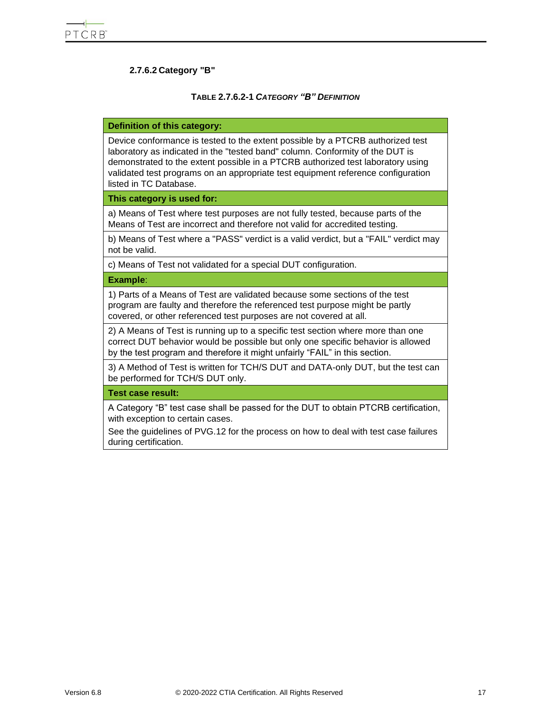## **2.7.6.2 Category "B"**

#### **TABLE 2.7.6.2-1** *CATEGORY "B" DEFINITION*

#### <span id="page-16-0"></span>**Definition of this category:**

Device conformance is tested to the extent possible by a PTCRB authorized test laboratory as indicated in the "tested band" column. Conformity of the DUT is demonstrated to the extent possible in a PTCRB authorized test laboratory using validated test programs on an appropriate test equipment reference configuration listed in TC Database.

#### **This category is used for:**

a) Means of Test where test purposes are not fully tested, because parts of the Means of Test are incorrect and therefore not valid for accredited testing.

b) Means of Test where a "PASS" verdict is a valid verdict, but a "FAIL" verdict may not be valid.

c) Means of Test not validated for a special DUT configuration.

**Example**:

1) Parts of a Means of Test are validated because some sections of the test program are faulty and therefore the referenced test purpose might be partly covered, or other referenced test purposes are not covered at all.

2) A Means of Test is running up to a specific test section where more than one correct DUT behavior would be possible but only one specific behavior is allowed by the test program and therefore it might unfairly "FAIL" in this section.

3) A Method of Test is written for TCH/S DUT and DATA-only DUT, but the test can be performed for TCH/S DUT only.

**Test case result:**

A Category "B" test case shall be passed for the DUT to obtain PTCRB certification, with exception to certain cases.

See the guidelines of PVG.12 for the process on how to deal with test case failures during certification.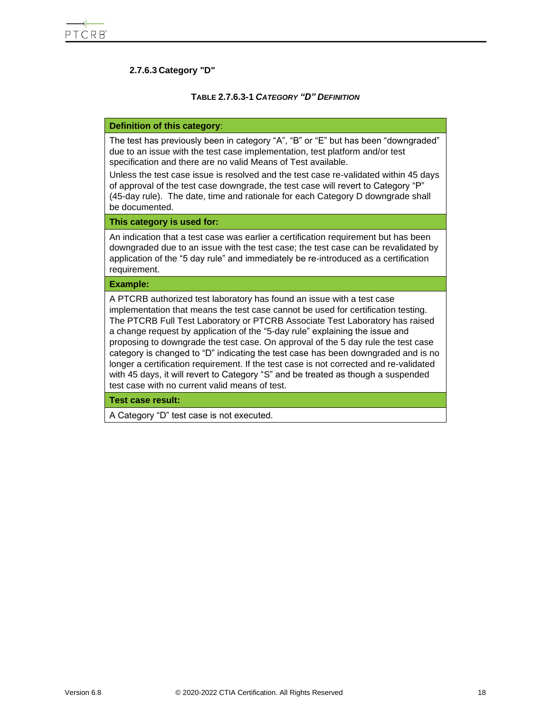## **2.7.6.3 Category "D"**

#### **TABLE 2.7.6.3-1** *CATEGORY "D" DEFINITION*

#### <span id="page-17-0"></span>**Definition of this category**:

The test has previously been in category "A", "B" or "E" but has been "downgraded" due to an issue with the test case implementation, test platform and/or test specification and there are no valid Means of Test available.

Unless the test case issue is resolved and the test case re-validated within 45 days of approval of the test case downgrade, the test case will revert to Category "P" (45-day rule). The date, time and rationale for each Category D downgrade shall be documented.

#### **This category is used for:**

An indication that a test case was earlier a certification requirement but has been downgraded due to an issue with the test case; the test case can be revalidated by application of the "5 day rule" and immediately be re-introduced as a certification requirement.

#### **Example:**

A PTCRB authorized test laboratory has found an issue with a test case implementation that means the test case cannot be used for certification testing. The PTCRB Full Test Laboratory or PTCRB Associate Test Laboratory has raised a change request by application of the "5-day rule" explaining the issue and proposing to downgrade the test case. On approval of the 5 day rule the test case category is changed to "D" indicating the test case has been downgraded and is no longer a certification requirement. If the test case is not corrected and re-validated with 45 days, it will revert to Category "S" and be treated as though a suspended test case with no current valid means of test.

**Test case result:**

A Category "D" test case is not executed.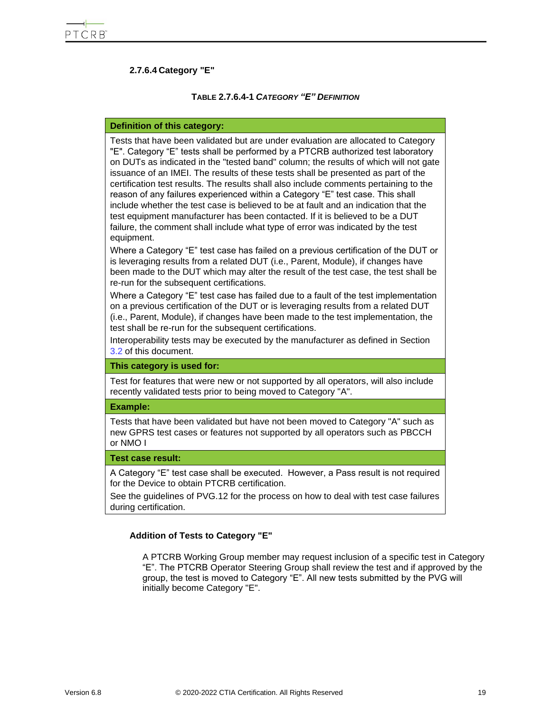## **2.7.6.4 Category "E"**

#### **TABLE 2.7.6.4-1** *CATEGORY "E" DEFINITION*

#### <span id="page-18-0"></span>**Definition of this category:**

Tests that have been validated but are under evaluation are allocated to Category "E". Category "E" tests shall be performed by a PTCRB authorized test laboratory on DUTs as indicated in the "tested band" column; the results of which will not gate issuance of an IMEI. The results of these tests shall be presented as part of the certification test results. The results shall also include comments pertaining to the reason of any failures experienced within a Category "E" test case. This shall include whether the test case is believed to be at fault and an indication that the test equipment manufacturer has been contacted. If it is believed to be a DUT failure, the comment shall include what type of error was indicated by the test equipment.

Where a Category "E" test case has failed on a previous certification of the DUT or is leveraging results from a related DUT (i.e., Parent, Module), if changes have been made to the DUT which may alter the result of the test case, the test shall be re-run for the subsequent certifications.

Where a Category "E" test case has failed due to a fault of the test implementation on a previous certification of the DUT or is leveraging results from a related DUT (i.e., Parent, Module), if changes have been made to the test implementation, the test shall be re-run for the subsequent certifications.

Interoperability tests may be executed by the manufacturer as defined in Section [3.2](#page-40-2) of this document.

#### **This category is used for:**

Test for features that were new or not supported by all operators, will also include recently validated tests prior to being moved to Category "A".

#### **Example:**

Tests that have been validated but have not been moved to Category "A" such as new GPRS test cases or features not supported by all operators such as PBCCH or NMO I

#### **Test case result:**

A Category "E" test case shall be executed. However, a Pass result is not required for the Device to obtain PTCRB certification.

See the guidelines of PVG.12 for the process on how to deal with test case failures during certification.

#### **Addition of Tests to Category "E"**

A PTCRB Working Group member may request inclusion of a specific test in Category "E". The PTCRB Operator Steering Group shall review the test and if approved by the group, the test is moved to Category "E". All new tests submitted by the PVG will initially become Category "E".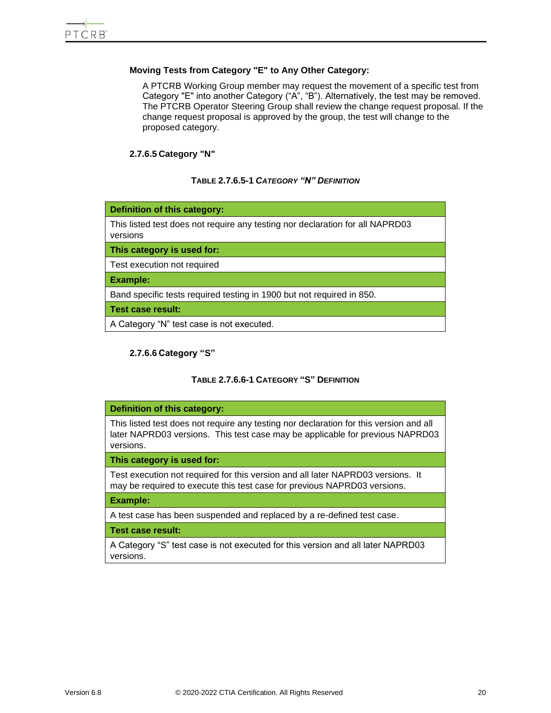## **Moving Tests from Category "E" to Any Other Category:**

A PTCRB Working Group member may request the movement of a specific test from Category "E" into another Category ("A", "B"). Alternatively, the test may be removed. The PTCRB Operator Steering Group shall review the change request proposal. If the change request proposal is approved by the group, the test will change to the proposed category.

#### **2.7.6.5 Category "N"**

#### **TABLE 2.7.6.5-1** *CATEGORY "N" DEFINITION*

<span id="page-19-0"></span>

#### **2.7.6.6 Category "S"**

#### **TABLE 2.7.6.6-1 CATEGORY "S" DEFINITION**

#### <span id="page-19-1"></span>**Definition of this category:**

This listed test does not require any testing nor declaration for this version and all later NAPRD03 versions. This test case may be applicable for previous NAPRD03 versions.

#### **This category is used for:**

Test execution not required for this version and all later NAPRD03 versions. It may be required to execute this test case for previous NAPRD03 versions.

#### **Example:**

A test case has been suspended and replaced by a re-defined test case.

#### **Test case result:**

A Category "S" test case is not executed for this version and all later NAPRD03 versions.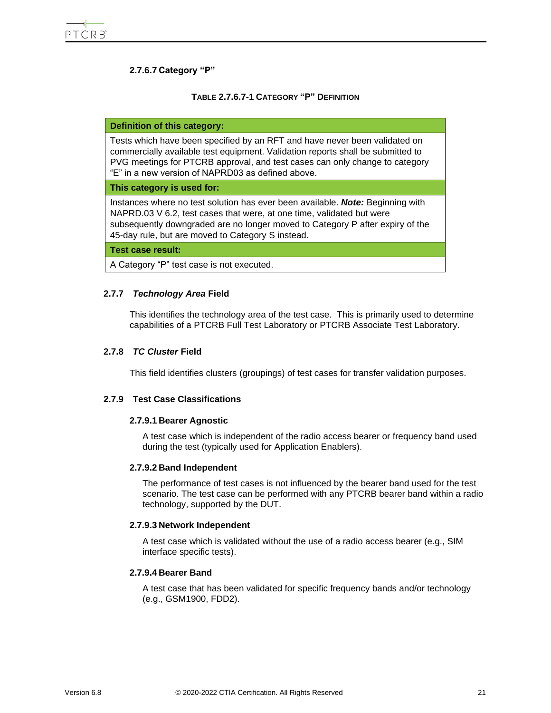## **2.7.6.7 Category "P"**

#### **TABLE 2.7.6.7-1 CATEGORY "P" DEFINITION**

#### <span id="page-20-3"></span>**Definition of this category:**

Tests which have been specified by an RFT and have never been validated on commercially available test equipment. Validation reports shall be submitted to PVG meetings for PTCRB approval, and test cases can only change to category "E" in a new version of NAPRD03 as defined above.

#### **This category is used for:**

Instances where no test solution has ever been available. *Note:* Beginning with NAPRD.03 V 6.2, test cases that were, at one time, validated but were subsequently downgraded are no longer moved to Category P after expiry of the 45-day rule, but are moved to Category S instead.

**Test case result:**

A Category "P" test case is not executed.

#### <span id="page-20-0"></span>**2.7.7** *Technology Area* **Field**

This identifies the technology area of the test case. This is primarily used to determine capabilities of a PTCRB Full Test Laboratory or PTCRB Associate Test Laboratory.

#### <span id="page-20-1"></span>**2.7.8** *TC Cluster* **Field**

This field identifies clusters (groupings) of test cases for transfer validation purposes.

#### <span id="page-20-2"></span>**2.7.9 Test Case Classifications**

#### **2.7.9.1 Bearer Agnostic**

A test case which is independent of the radio access bearer or frequency band used during the test (typically used for Application Enablers).

#### **2.7.9.2 Band Independent**

The performance of test cases is not influenced by the bearer band used for the test scenario. The test case can be performed with any PTCRB bearer band within a radio technology, supported by the DUT.

#### **2.7.9.3 Network Independent**

A test case which is validated without the use of a radio access bearer (e.g., SIM interface specific tests).

#### **2.7.9.4 Bearer Band**

A test case that has been validated for specific frequency bands and/or technology (e.g., GSM1900, FDD2).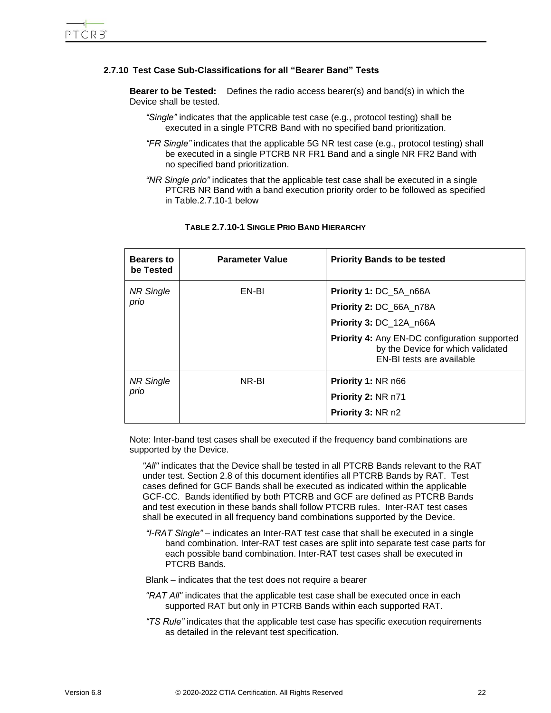### <span id="page-21-0"></span>**2.7.10 Test Case Sub-Classifications for all "Bearer Band" Tests**

**Bearer to be Tested:** Defines the radio access bearer(s) and band(s) in which the Device shall be tested.

- *"Single"* indicates that the applicable test case (e.g., protocol testing) shall be executed in a single PTCRB Band with no specified band prioritization.
- *"FR Single"* indicates that the applicable 5G NR test case (e.g., protocol testing) shall be executed in a single PTCRB NR FR1 Band and a single NR FR2 Band with no specified band prioritization.
- *"NR Single prio"* indicates that the applicable test case shall be executed in a single PTCRB NR Band with a band execution priority order to be followed as specified in Table.2.7.10-1 below

<span id="page-21-1"></span>

| <b>Bearers to</b><br>be Tested | <b>Parameter Value</b> | <b>Priority Bands to be tested</b>                                                                                     |
|--------------------------------|------------------------|------------------------------------------------------------------------------------------------------------------------|
| <b>NR Single</b><br>prio       | EN-BI                  | <b>Priority 1: DC 5A n66A</b><br>Priority 2: DC_66A_n78A<br>Priority 3: DC_12A_n66A                                    |
|                                |                        | <b>Priority 4: Any EN-DC configuration supported</b><br>by the Device for which validated<br>EN-BI tests are available |
| <b>NR Single</b><br>prio       | NR-BI                  | Priority 1: NR n66<br>Priority 2: NR n71<br>Priority 3: NR n2                                                          |

#### **TABLE 2.7.10-1 SINGLE PRIO BAND HIERARCHY**

Note: Inter-band test cases shall be executed if the frequency band combinations are supported by the Device.

*"All"* indicates that the Device shall be tested in all PTCRB Bands relevant to the RAT under test. Section 2.8 of this document identifies all PTCRB Bands by RAT. Test cases defined for GCF Bands shall be executed as indicated within the applicable GCF-CC. Bands identified by both PTCRB and GCF are defined as PTCRB Bands and test execution in these bands shall follow PTCRB rules. Inter-RAT test cases shall be executed in all frequency band combinations supported by the Device.

- *"I-RAT Single"* indicates an Inter-RAT test case that shall be executed in a single band combination. Inter-RAT test cases are split into separate test case parts for each possible band combination. Inter-RAT test cases shall be executed in PTCRB Bands.
- Blank indicates that the test does not require a bearer
- *"RAT All"* indicates that the applicable test case shall be executed once in each supported RAT but only in PTCRB Bands within each supported RAT.
- *"TS Rule"* indicates that the applicable test case has specific execution requirements as detailed in the relevant test specification.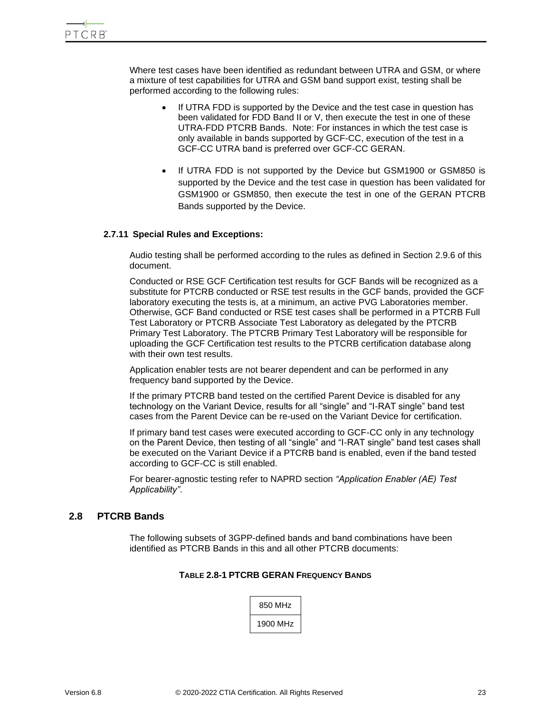Where test cases have been identified as redundant between UTRA and GSM, or where a mixture of test capabilities for UTRA and GSM band support exist, testing shall be performed according to the following rules:

- If UTRA FDD is supported by the Device and the test case in question has been validated for FDD Band II or V, then execute the test in one of these UTRA-FDD PTCRB Bands. Note: For instances in which the test case is only available in bands supported by GCF-CC, execution of the test in a GCF-CC UTRA band is preferred over GCF-CC GERAN.
- If UTRA FDD is not supported by the Device but GSM1900 or GSM850 is supported by the Device and the test case in question has been validated for GSM1900 or GSM850, then execute the test in one of the GERAN PTCRB Bands supported by the Device.

#### <span id="page-22-0"></span>**2.7.11 Special Rules and Exceptions:**

Audio testing shall be performed according to the rules as defined in Section 2.9.6 of this document.

Conducted or RSE GCF Certification test results for GCF Bands will be recognized as a substitute for PTCRB conducted or RSE test results in the GCF bands, provided the GCF laboratory executing the tests is, at a minimum, an active PVG Laboratories member. Otherwise, GCF Band conducted or RSE test cases shall be performed in a PTCRB Full Test Laboratory or PTCRB Associate Test Laboratory as delegated by the PTCRB Primary Test Laboratory. The PTCRB Primary Test Laboratory will be responsible for uploading the GCF Certification test results to the PTCRB certification database along with their own test results.

Application enabler tests are not bearer dependent and can be performed in any frequency band supported by the Device.

If the primary PTCRB band tested on the certified Parent Device is disabled for any technology on the Variant Device, results for all "single" and "I-RAT single" band test cases from the Parent Device can be re-used on the Variant Device for certification.

If primary band test cases were executed according to GCF-CC only in any technology on the Parent Device, then testing of all "single" and "I-RAT single" band test cases shall be executed on the Variant Device if a PTCRB band is enabled, even if the band tested according to GCF-CC is still enabled.

For bearer-agnostic testing refer to NAPRD section *"Application Enabler (AE) Test Applicability"*.

## <span id="page-22-2"></span><span id="page-22-1"></span>**2.8 PTCRB Bands**

The following subsets of 3GPP-defined bands and band combinations have been identified as PTCRB Bands in this and all other PTCRB documents:

## **TABLE 2.8-1 PTCRB GERAN FREQUENCY BANDS**

| 850 MHz  |
|----------|
| 1900 MHz |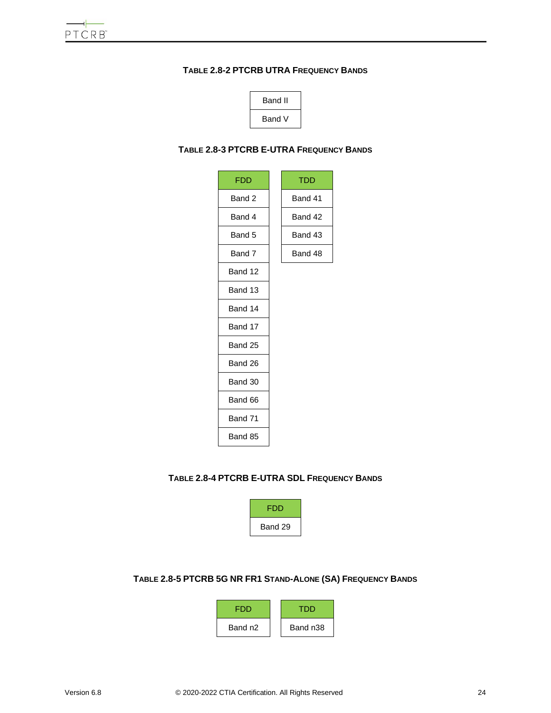## <span id="page-23-0"></span>**TABLE 2.8-2 PTCRB UTRA FREQUENCY BANDS**



## <span id="page-23-1"></span>**TABLE 2.8-3 PTCRB E-UTRA FREQUENCY BANDS**

| <b>FDD</b> | <b>TDD</b> |
|------------|------------|
| Band 2     | Band 41    |
| Band 4     | Band 42    |
| Band 5     | Band 43    |
| Band 7     | Band 48    |
| Band 12    |            |
| Band 13    |            |
| Band 14    |            |
| Band 17    |            |
| Band 25    |            |
| Band 26    |            |
| Band 30    |            |
| Band 66    |            |
| Band 71    |            |
| Band 85    |            |

## <span id="page-23-2"></span>**TABLE 2.8-4 PTCRB E-UTRA SDL FREQUENCY BANDS**



# <span id="page-23-3"></span>**TABLE 2.8-5 PTCRB 5G NR FR1 STAND-ALONE (SA) FREQUENCY BANDS**

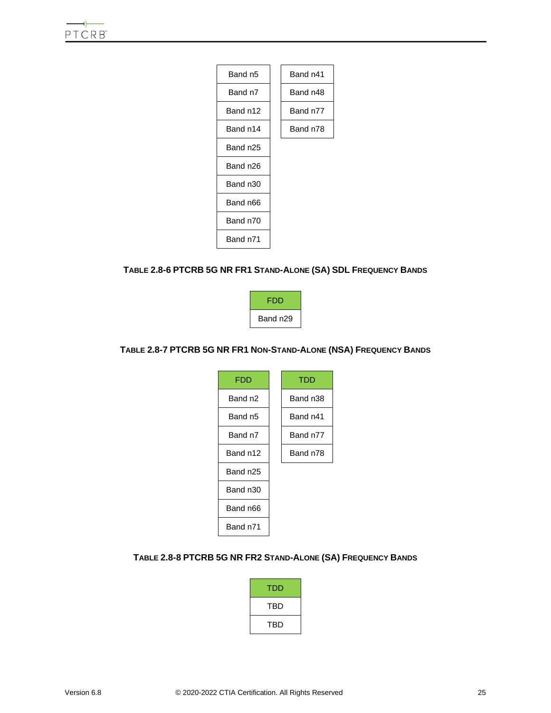

## <span id="page-24-0"></span>**TABLE 2.8-6 PTCRB 5G NR FR1 STAND-ALONE (SA) SDL FREQUENCY BANDS**



## <span id="page-24-1"></span>**TABLE 2.8-7 PTCRB 5G NR FR1 NON-STAND-ALONE (NSA) FREQUENCY BANDS**

| FDD      | TDD      |
|----------|----------|
| Band n2  | Band n38 |
| Band n5  | Band n41 |
| Band n7  | Band n77 |
| Band n12 | Band n78 |
| Band n25 |          |
| Band n30 |          |
| Band n66 |          |
| Band n71 |          |

### <span id="page-24-2"></span>**TABLE 2.8-8 PTCRB 5G NR FR2 STAND-ALONE (SA) FREQUENCY BANDS**

| TDD |
|-----|
| TBD |
| TBD |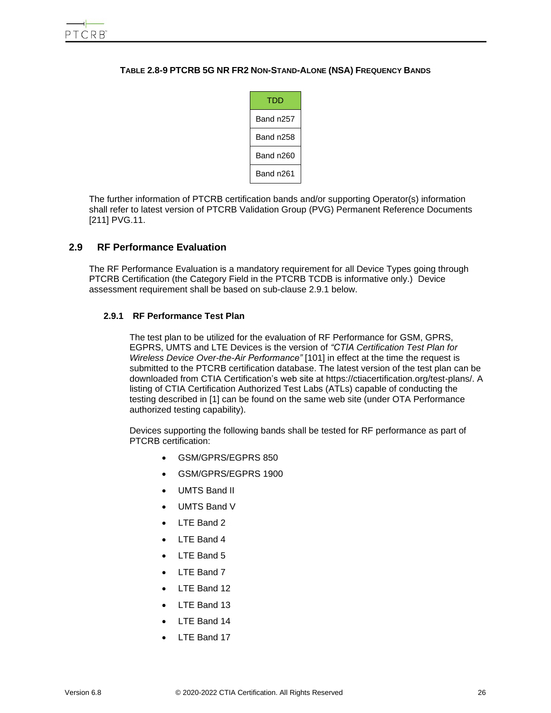#### <span id="page-25-2"></span>**TABLE 2.8-9 PTCRB 5G NR FR2 NON-STAND-ALONE (NSA) FREQUENCY BANDS**



The further information of PTCRB certification bands and/or supporting Operator(s) information shall refer to latest version of PTCRB Validation Group (PVG) Permanent Reference Documents [211] PVG.11.

## <span id="page-25-0"></span>**2.9 RF Performance Evaluation**

<span id="page-25-1"></span>The RF Performance Evaluation is a mandatory requirement for all Device Types going through PTCRB Certification (the Category Field in the PTCRB TCDB is informative only.) Device assessment requirement shall be based on sub-clause 2.9.1 below.

#### **2.9.1 RF Performance Test Plan**

The test plan to be utilized for the evaluation of RF Performance for GSM, GPRS, EGPRS, UMTS and LTE Devices is the version of *"CTIA Certification Test Plan for Wireless Device Over-the-Air Performance"* [101] in effect at the time the request is submitted to the PTCRB certification database. The latest version of the test plan can be downloaded from CTIA Certification's web site at https://ctiacertification.org/test-plans/. A listing of CTIA Certification Authorized Test Labs (ATLs) capable of conducting the testing described in [1] can be found on the same web site (under OTA Performance authorized testing capability).

Devices supporting the following bands shall be tested for RF performance as part of PTCRB certification:

- GSM/GPRS/EGPRS 850
- GSM/GPRS/EGPRS 1900
- UMTS Band II
- UMTS Band V
- LTE Band 2
- LTE Band 4
- LTE Band 5
- LTE Band 7
- LTE Band 12
- LTE Band 13
- LTE Band 14
- LTE Band 17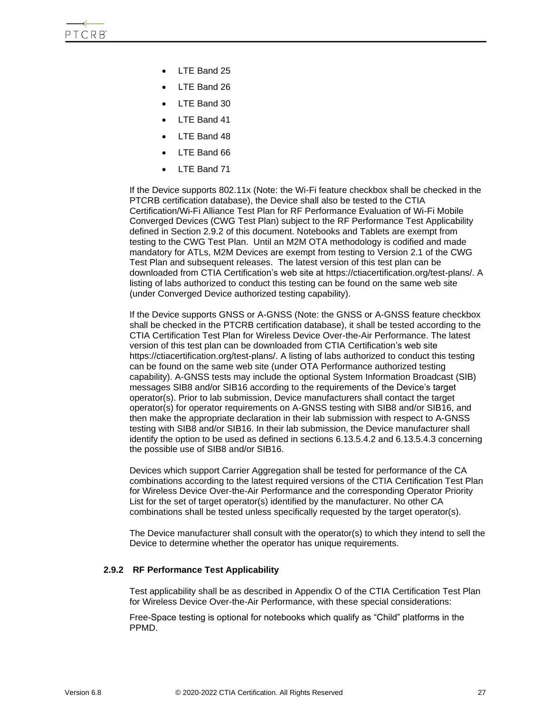- LTE Band 25
- LTE Band 26
- LTE Band 30
- LTE Band 41
- LTE Band 48
- LTE Band 66
- LTE Band 71

If the Device supports 802.11x (Note: the Wi-Fi feature checkbox shall be checked in the PTCRB certification database), the Device shall also be tested to the CTIA Certification/Wi-Fi Alliance Test Plan for RF Performance Evaluation of Wi-Fi Mobile Converged Devices (CWG Test Plan) subject to the RF Performance Test Applicability defined in Section 2.9.2 of this document. Notebooks and Tablets are exempt from testing to the CWG Test Plan. Until an M2M OTA methodology is codified and made mandatory for ATLs, M2M Devices are exempt from testing to Version 2.1 of the CWG Test Plan and subsequent releases. The latest version of this test plan can be downloaded from CTIA Certification's web site at https://ctiacertification.org/test-plans/. A listing of labs authorized to conduct this testing can be found on the same web site (under Converged Device authorized testing capability).

If the Device supports GNSS or A-GNSS (Note: the GNSS or A-GNSS feature checkbox shall be checked in the PTCRB certification database), it shall be tested according to the CTIA Certification Test Plan for Wireless Device Over-the-Air Performance. The latest version of this test plan can be downloaded from CTIA Certification's web site https://ctiacertification.org/test-plans/. A listing of labs authorized to conduct this testing can be found on the same web site (under OTA Performance authorized testing capability). A-GNSS tests may include the optional System Information Broadcast (SIB) messages SIB8 and/or SIB16 according to the requirements of the Device's target operator(s). Prior to lab submission, Device manufacturers shall contact the target operator(s) for operator requirements on A-GNSS testing with SIB8 and/or SIB16, and then make the appropriate declaration in their lab submission with respect to A-GNSS testing with SIB8 and/or SIB16. In their lab submission, the Device manufacturer shall identify the option to be used as defined in sections 6.13.5.4.2 and 6.13.5.4.3 concerning the possible use of SIB8 and/or SIB16.

Devices which support Carrier Aggregation shall be tested for performance of the CA combinations according to the latest required versions of the CTIA Certification Test Plan for Wireless Device Over-the-Air Performance and the corresponding Operator Priority List for the set of target operator(s) identified by the manufacturer. No other CA combinations shall be tested unless specifically requested by the target operator(s).

The Device manufacturer shall consult with the operator(s) to which they intend to sell the Device to determine whether the operator has unique requirements.

#### <span id="page-26-0"></span>**2.9.2 RF Performance Test Applicability**

Test applicability shall be as described in Appendix O of the CTIA Certification Test Plan for Wireless Device Over-the-Air Performance, with these special considerations:

Free-Space testing is optional for notebooks which qualify as "Child" platforms in the PPMD.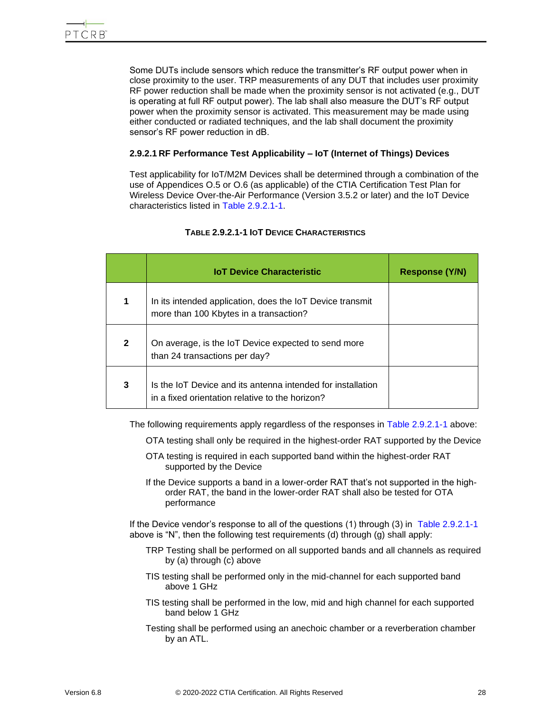Some DUTs include sensors which reduce the transmitter's RF output power when in close proximity to the user. TRP measurements of any DUT that includes user proximity RF power reduction shall be made when the proximity sensor is not activated (e.g., DUT is operating at full RF output power). The lab shall also measure the DUT's RF output power when the proximity sensor is activated. This measurement may be made using either conducted or radiated techniques, and the lab shall document the proximity sensor's RF power reduction in dB.

## **2.9.2.1 RF Performance Test Applicability – IoT (Internet of Things) Devices**

Test applicability for IoT/M2M Devices shall be determined through a combination of the use of Appendices O.5 or O.6 (as applicable) of the CTIA Certification Test Plan for Wireless Device Over-the-Air Performance (Version 3.5.2 or later) and the IoT Device characteristics listed in [Table 2.9.2.1-1.](#page-27-0)

<span id="page-27-0"></span>

|                      | <b>IoT Device Characteristic</b>                                                                               | <b>Response (Y/N)</b> |
|----------------------|----------------------------------------------------------------------------------------------------------------|-----------------------|
| $\blacktriangleleft$ | In its intended application, does the IoT Device transmit<br>more than 100 Kbytes in a transaction?            |                       |
| $\mathbf{2}$         | On average, is the IoT Device expected to send more<br>than 24 transactions per day?                           |                       |
| 3                    | Is the IoT Device and its antenna intended for installation<br>in a fixed orientation relative to the horizon? |                       |

## **TABLE 2.9.2.1-1 IOT DEVICE CHARACTERISTICS**

The following requirements apply regardless of the responses in [Table 2.9.2.1-1](#page-27-0) above:

- OTA testing shall only be required in the highest-order RAT supported by the Device
- OTA testing is required in each supported band within the highest-order RAT supported by the Device
- If the Device supports a band in a lower-order RAT that's not supported in the highorder RAT, the band in the lower-order RAT shall also be tested for OTA performance

If the Device vendor's response to all of the questions (1) through (3) in [Table 2.9.2.1-1](#page-27-0) above is "N", then the following test requirements (d) through (g) shall apply:

- TRP Testing shall be performed on all supported bands and all channels as required by (a) through (c) above
- TIS testing shall be performed only in the mid-channel for each supported band above 1 GHz
- TIS testing shall be performed in the low, mid and high channel for each supported band below 1 GHz
- Testing shall be performed using an anechoic chamber or a reverberation chamber by an ATL.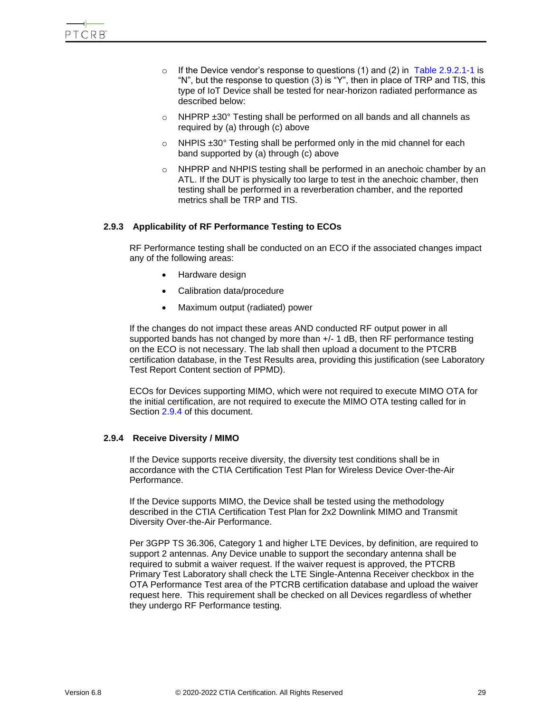- o If the Device vendor's response to questions (1) and (2) in [Table 2.9.2.1-1](#page-27-0) is "N", but the response to question (3) is "Y", then in place of TRP and TIS, this type of IoT Device shall be tested for near-horizon radiated performance as described below:
- o NHPRP ±30° Testing shall be performed on all bands and all channels as required by (a) through (c) above
- o NHPIS ±30° Testing shall be performed only in the mid channel for each band supported by (a) through (c) above
- $\circ$  NHPRP and NHPIS testing shall be performed in an anechoic chamber by an ATL. If the DUT is physically too large to test in the anechoic chamber, then testing shall be performed in a reverberation chamber, and the reported metrics shall be TRP and TIS.

#### <span id="page-28-0"></span>**2.9.3 Applicability of RF Performance Testing to ECOs**

RF Performance testing shall be conducted on an ECO if the associated changes impact any of the following areas:

- Hardware design
- Calibration data/procedure
- Maximum output (radiated) power

If the changes do not impact these areas AND conducted RF output power in all supported bands has not changed by more than  $+/-1$  dB, then RF performance testing on the ECO is not necessary. The lab shall then upload a document to the PTCRB certification database, in the Test Results area, providing this justification (see Laboratory Test Report Content section of PPMD).

ECOs for Devices supporting MIMO, which were not required to execute MIMO OTA for the initial certification, are not required to execute the MIMO OTA testing called for in Section [2.9.4](#page-28-1) of this document.

#### <span id="page-28-1"></span>**2.9.4 Receive Diversity / MIMO**

If the Device supports receive diversity, the diversity test conditions shall be in accordance with the CTIA Certification Test Plan for Wireless Device Over-the-Air Performance.

If the Device supports MIMO, the Device shall be tested using the methodology described in the CTIA Certification Test Plan for 2x2 Downlink MIMO and Transmit Diversity Over-the-Air Performance.

Per 3GPP TS 36.306, Category 1 and higher LTE Devices, by definition, are required to support 2 antennas. Any Device unable to support the secondary antenna shall be required to submit a waiver request. If the waiver request is approved, the PTCRB Primary Test Laboratory shall check the LTE Single-Antenna Receiver checkbox in the OTA Performance Test area of the PTCRB certification database and upload the waiver request here. This requirement shall be checked on all Devices regardless of whether they undergo RF Performance testing.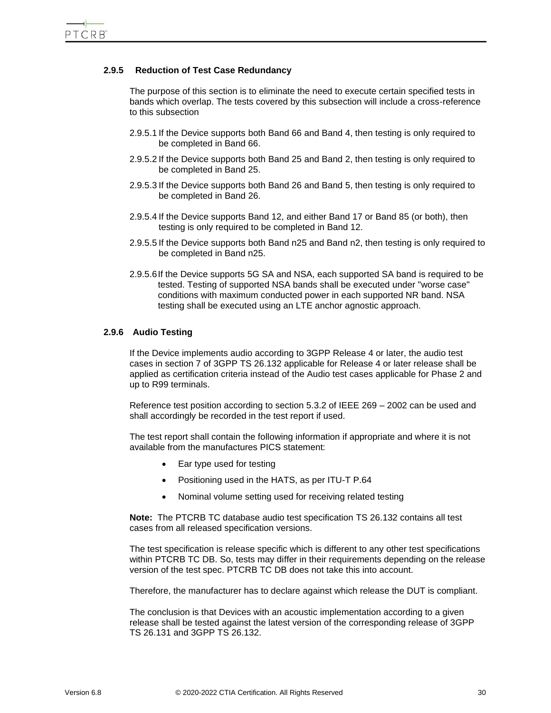## **2.9.5 Reduction of Test Case Redundancy**

<span id="page-29-0"></span>The purpose of this section is to eliminate the need to execute certain specified tests in bands which overlap. The tests covered by this subsection will include a cross-reference to this subsection

- 2.9.5.1 If the Device supports both Band 66 and Band 4, then testing is only required to be completed in Band 66.
- 2.9.5.2 If the Device supports both Band 25 and Band 2, then testing is only required to be completed in Band 25.
- 2.9.5.3 If the Device supports both Band 26 and Band 5, then testing is only required to be completed in Band 26.
- 2.9.5.4 If the Device supports Band 12, and either Band 17 or Band 85 (or both), then testing is only required to be completed in Band 12.
- 2.9.5.5 If the Device supports both Band n25 and Band n2, then testing is only required to be completed in Band n25.
- 2.9.5.6If the Device supports 5G SA and NSA, each supported SA band is required to be tested. Testing of supported NSA bands shall be executed under "worse case" conditions with maximum conducted power in each supported NR band. NSA testing shall be executed using an LTE anchor agnostic approach.

#### <span id="page-29-1"></span>**2.9.6 Audio Testing**

If the Device implements audio according to 3GPP Release 4 or later, the audio test cases in section 7 of 3GPP TS 26.132 applicable for Release 4 or later release shall be applied as certification criteria instead of the Audio test cases applicable for Phase 2 and up to R99 terminals.

Reference test position according to section 5.3.2 of IEEE 269 – 2002 can be used and shall accordingly be recorded in the test report if used.

The test report shall contain the following information if appropriate and where it is not available from the manufactures PICS statement:

- Ear type used for testing
- Positioning used in the HATS, as per ITU-T P.64
- Nominal volume setting used for receiving related testing

**Note:** The PTCRB TC database audio test specification TS 26.132 contains all test cases from all released specification versions.

The test specification is release specific which is different to any other test specifications within PTCRB TC DB. So, tests may differ in their requirements depending on the release version of the test spec. PTCRB TC DB does not take this into account.

Therefore, the manufacturer has to declare against which release the DUT is compliant.

The conclusion is that Devices with an acoustic implementation according to a given release shall be tested against the latest version of the corresponding release of 3GPP TS 26.131 and 3GPP TS 26.132.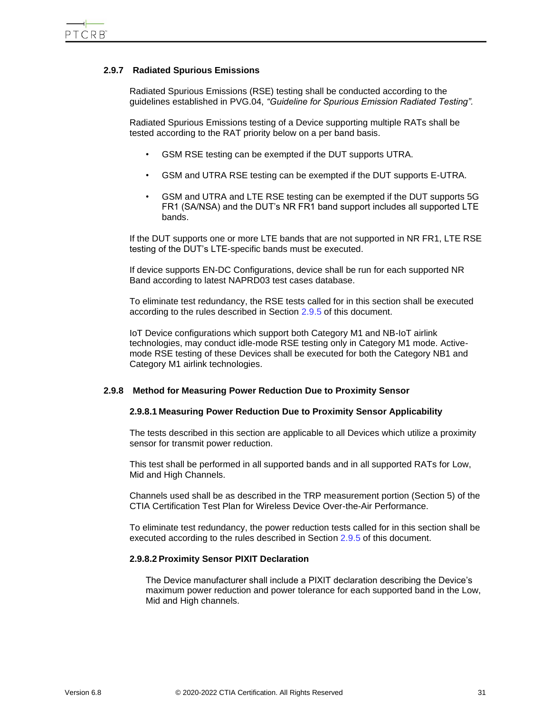#### <span id="page-30-0"></span>**2.9.7 Radiated Spurious Emissions**

Radiated Spurious Emissions (RSE) testing shall be conducted according to the guidelines established in PVG.04, *"Guideline for Spurious Emission Radiated Testing".*

Radiated Spurious Emissions testing of a Device supporting multiple RATs shall be tested according to the RAT priority below on a per band basis.

- GSM RSE testing can be exempted if the DUT supports UTRA.
- GSM and UTRA RSE testing can be exempted if the DUT supports E-UTRA.
- GSM and UTRA and LTE RSE testing can be exempted if the DUT supports 5G FR1 (SA/NSA) and the DUT's NR FR1 band support includes all supported LTE bands.

If the DUT supports one or more LTE bands that are not supported in NR FR1, LTE RSE testing of the DUT's LTE-specific bands must be executed.

If device supports EN-DC Configurations, device shall be run for each supported NR Band according to latest NAPRD03 test cases database.

To eliminate test redundancy, the RSE tests called for in this section shall be executed according to the rules described in Section [2.9.5](#page-29-0) of this document.

IoT Device configurations which support both Category M1 and NB-IoT airlink technologies, may conduct idle-mode RSE testing only in Category M1 mode. Activemode RSE testing of these Devices shall be executed for both the Category NB1 and Category M1 airlink technologies.

#### <span id="page-30-1"></span>**2.9.8 Method for Measuring Power Reduction Due to Proximity Sensor**

#### **2.9.8.1 Measuring Power Reduction Due to Proximity Sensor Applicability**

The tests described in this section are applicable to all Devices which utilize a proximity sensor for transmit power reduction.

This test shall be performed in all supported bands and in all supported RATs for Low, Mid and High Channels.

Channels used shall be as described in the TRP measurement portion (Section 5) of the CTIA Certification Test Plan for Wireless Device Over-the-Air Performance.

To eliminate test redundancy, the power reduction tests called for in this section shall be executed according to the rules described in Section [2.9.5](#page-29-0) of this document.

#### **2.9.8.2 Proximity Sensor PIXIT Declaration**

The Device manufacturer shall include a PIXIT declaration describing the Device's maximum power reduction and power tolerance for each supported band in the Low, Mid and High channels.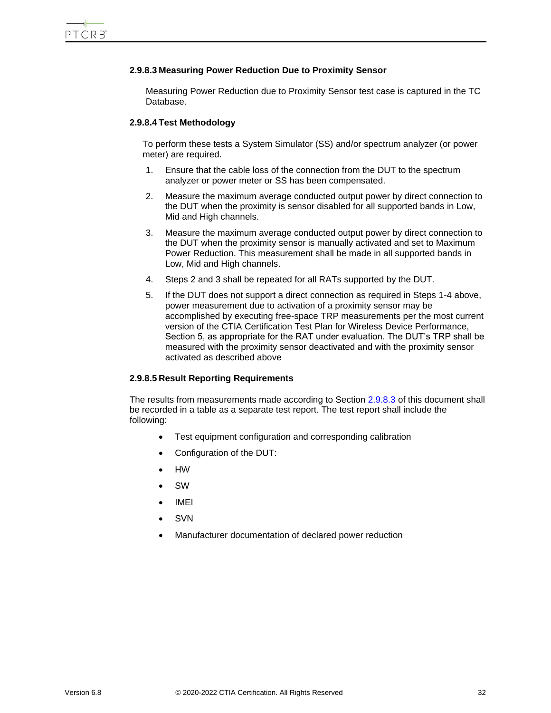#### **2.9.8.3 Measuring Power Reduction Due to Proximity Sensor**

Measuring Power Reduction due to Proximity Sensor test case is captured in the TC Database.

#### **2.9.8.4 Test Methodology**

To perform these tests a System Simulator (SS) and/or spectrum analyzer (or power meter) are required.

- 1. Ensure that the cable loss of the connection from the DUT to the spectrum analyzer or power meter or SS has been compensated.
- 2. Measure the maximum average conducted output power by direct connection to the DUT when the proximity is sensor disabled for all supported bands in Low, Mid and High channels.
- 3. Measure the maximum average conducted output power by direct connection to the DUT when the proximity sensor is manually activated and set to Maximum Power Reduction. This measurement shall be made in all supported bands in Low, Mid and High channels.
- 4. Steps 2 and 3 shall be repeated for all RATs supported by the DUT.
- 5. If the DUT does not support a direct connection as required in Steps 1-4 above, power measurement due to activation of a proximity sensor may be accomplished by executing free-space TRP measurements per the most current version of the CTIA Certification Test Plan for Wireless Device Performance, Section 5, as appropriate for the RAT under evaluation. The DUT's TRP shall be measured with the proximity sensor deactivated and with the proximity sensor activated as described above

#### **2.9.8.5 Result Reporting Requirements**

The results from measurements made according to Section 2.9.8.3 of this document shall be recorded in a table as a separate test report. The test report shall include the following:

- Test equipment configuration and corresponding calibration
- Configuration of the DUT:
- HW
- SW
- IMEI
- **SVN**
- Manufacturer documentation of declared power reduction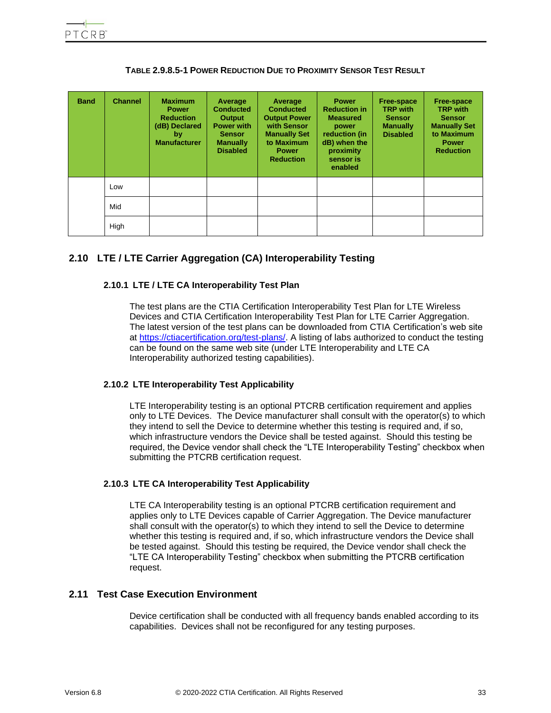<span id="page-32-5"></span>

| <b>Band</b> | <b>Channel</b> | <b>Maximum</b><br><b>Power</b><br><b>Reduction</b><br>(dB) Declared<br>by<br><b>Manufacturer</b> | Average<br><b>Conducted</b><br><b>Output</b><br><b>Power with</b><br><b>Sensor</b><br><b>Manually</b><br><b>Disabled</b> | Average<br><b>Conducted</b><br><b>Output Power</b><br>with Sensor<br><b>Manually Set</b><br>to Maximum<br><b>Power</b><br><b>Reduction</b> | <b>Power</b><br><b>Reduction in</b><br><b>Measured</b><br>power<br>reduction (in<br>dB) when the<br>proximity<br>sensor is<br>enabled | <b>Free-space</b><br><b>TRP with</b><br><b>Sensor</b><br><b>Manually</b><br><b>Disabled</b> | <b>Free-space</b><br><b>TRP with</b><br><b>Sensor</b><br><b>Manually Set</b><br>to Maximum<br><b>Power</b><br><b>Reduction</b> |
|-------------|----------------|--------------------------------------------------------------------------------------------------|--------------------------------------------------------------------------------------------------------------------------|--------------------------------------------------------------------------------------------------------------------------------------------|---------------------------------------------------------------------------------------------------------------------------------------|---------------------------------------------------------------------------------------------|--------------------------------------------------------------------------------------------------------------------------------|
|             | Low            |                                                                                                  |                                                                                                                          |                                                                                                                                            |                                                                                                                                       |                                                                                             |                                                                                                                                |
|             | Mid            |                                                                                                  |                                                                                                                          |                                                                                                                                            |                                                                                                                                       |                                                                                             |                                                                                                                                |
|             | High           |                                                                                                  |                                                                                                                          |                                                                                                                                            |                                                                                                                                       |                                                                                             |                                                                                                                                |

**TABLE 2.9.8.5-1 POWER REDUCTION DUE TO PROXIMITY SENSOR TEST RESULT**

# <span id="page-32-1"></span><span id="page-32-0"></span>**2.10 LTE / LTE Carrier Aggregation (CA) Interoperability Testing**

## **2.10.1 LTE / LTE CA Interoperability Test Plan**

The test plans are the CTIA Certification Interoperability Test Plan for LTE Wireless Devices and CTIA Certification Interoperability Test Plan for LTE Carrier Aggregation. The latest version of the test plans can be downloaded from CTIA Certification's web site at [https://ctiacertification.org/test-plans/.](https://ctiacertification.org/test-plans/) A listing of labs authorized to conduct the testing can be found on the same web site (under LTE Interoperability and LTE CA Interoperability authorized testing capabilities).

## <span id="page-32-2"></span>**2.10.2 LTE Interoperability Test Applicability**

LTE Interoperability testing is an optional PTCRB certification requirement and applies only to LTE Devices. The Device manufacturer shall consult with the operator(s) to which they intend to sell the Device to determine whether this testing is required and, if so, which infrastructure vendors the Device shall be tested against. Should this testing be required, the Device vendor shall check the "LTE Interoperability Testing" checkbox when submitting the PTCRB certification request.

#### <span id="page-32-3"></span>**2.10.3 LTE CA Interoperability Test Applicability**

LTE CA Interoperability testing is an optional PTCRB certification requirement and applies only to LTE Devices capable of Carrier Aggregation. The Device manufacturer shall consult with the operator(s) to which they intend to sell the Device to determine whether this testing is required and, if so, which infrastructure vendors the Device shall be tested against. Should this testing be required, the Device vendor shall check the "LTE CA Interoperability Testing" checkbox when submitting the PTCRB certification request.

## <span id="page-32-4"></span>**2.11 Test Case Execution Environment**

Device certification shall be conducted with all frequency bands enabled according to its capabilities. Devices shall not be reconfigured for any testing purposes.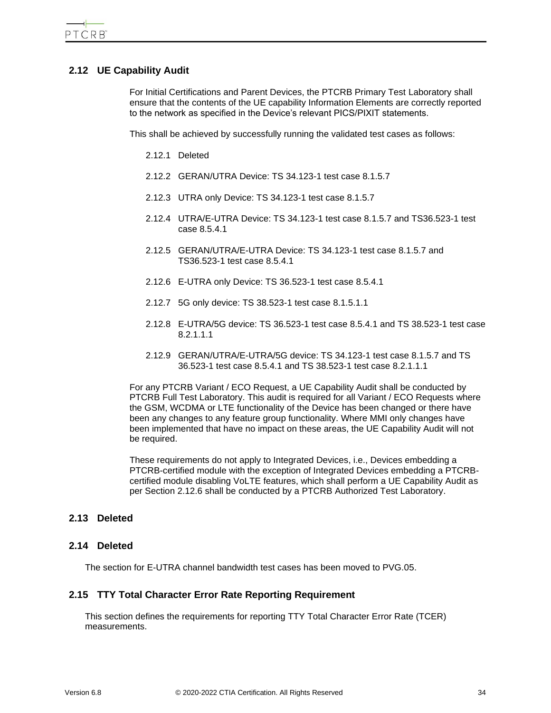# <span id="page-33-0"></span>**2.12 UE Capability Audit**

For Initial Certifications and Parent Devices, the PTCRB Primary Test Laboratory shall ensure that the contents of the UE capability Information Elements are correctly reported to the network as specified in the Device's relevant PICS/PIXIT statements.

<span id="page-33-2"></span><span id="page-33-1"></span>This shall be achieved by successfully running the validated test cases as follows:

2.12.1 Deleted

- 2.12.2 GERAN/UTRA Device: TS 34.123-1 test case 8.1.5.7
- <span id="page-33-3"></span>2.12.3 UTRA only Device: TS 34.123-1 test case 8.1.5.7
- <span id="page-33-4"></span>2.12.4 UTRA/E-UTRA Device: TS 34.123-1 test case 8.1.5.7 and TS36.523-1 test case 8.5.4.1
- <span id="page-33-5"></span>2.12.5 GERAN/UTRA/E-UTRA Device: TS 34.123-1 test case 8.1.5.7 and TS36.523-1 test case 8.5.4.1
- <span id="page-33-6"></span>2.12.6 E-UTRA only Device: TS 36.523-1 test case 8.5.4.1
- <span id="page-33-7"></span>2.12.7 5G only device: TS 38.523-1 test case 8.1.5.1.1
- <span id="page-33-8"></span>2.12.8 E-UTRA/5G device: TS 36.523-1 test case 8.5.4.1 and TS 38.523-1 test case 8.2.1.1.1
- 2.12.9 GERAN/UTRA/E-UTRA/5G device: TS 34.123-1 test case 8.1.5.7 and TS 36.523-1 test case 8.5.4.1 and TS 38.523-1 test case 8.2.1.1.1

<span id="page-33-9"></span>For any PTCRB Variant / ECO Request, a UE Capability Audit shall be conducted by PTCRB Full Test Laboratory. This audit is required for all Variant / ECO Requests where the GSM, WCDMA or LTE functionality of the Device has been changed or there have been any changes to any feature group functionality. Where MMI only changes have been implemented that have no impact on these areas, the UE Capability Audit will not be required.

These requirements do not apply to Integrated Devices, i.e., Devices embedding a PTCRB-certified module with the exception of Integrated Devices embedding a PTCRBcertified module disabling VoLTE features, which shall perform a UE Capability Audit as per Section 2.12.6 shall be conducted by a PTCRB Authorized Test Laboratory.

## <span id="page-33-10"></span>**2.13 Deleted**

#### <span id="page-33-11"></span>**2.14 Deleted**

The section for E-UTRA channel bandwidth test cases has been moved to PVG.05.

## <span id="page-33-12"></span>**2.15 TTY Total Character Error Rate Reporting Requirement**

This section defines the requirements for reporting TTY Total Character Error Rate (TCER) measurements.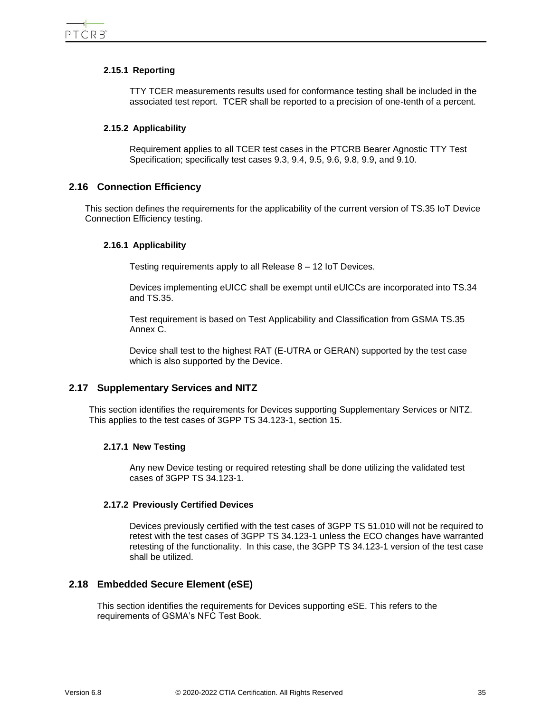## <span id="page-34-0"></span>**2.15.1 Reporting**

TTY TCER measurements results used for conformance testing shall be included in the associated test report. TCER shall be reported to a precision of one-tenth of a percent.

#### <span id="page-34-1"></span>**2.15.2 Applicability**

Requirement applies to all TCER test cases in the PTCRB Bearer Agnostic TTY Test Specification; specifically test cases 9.3, 9.4, 9.5, 9.6, 9.8, 9.9, and 9.10.

## <span id="page-34-2"></span>**2.16 Connection Efficiency**

<span id="page-34-3"></span>This section defines the requirements for the applicability of the current version of TS.35 IoT Device Connection Efficiency testing.

#### **2.16.1 Applicability**

Testing requirements apply to all Release 8 – 12 IoT Devices.

Devices implementing eUICC shall be exempt until eUICCs are incorporated into TS.34 and TS.35.

Test requirement is based on Test Applicability and Classification from GSMA TS.35 Annex C.

Device shall test to the highest RAT (E-UTRA or GERAN) supported by the test case which is also supported by the Device.

## <span id="page-34-4"></span>**2.17 Supplementary Services and NITZ**

<span id="page-34-5"></span>This section identifies the requirements for Devices supporting Supplementary Services or NITZ. This applies to the test cases of 3GPP TS 34.123-1, section 15.

#### **2.17.1 New Testing**

Any new Device testing or required retesting shall be done utilizing the validated test cases of 3GPP TS 34.123-1.

#### <span id="page-34-6"></span>**2.17.2 Previously Certified Devices**

Devices previously certified with the test cases of 3GPP TS 51.010 will not be required to retest with the test cases of 3GPP TS 34.123-1 unless the ECO changes have warranted retesting of the functionality. In this case, the 3GPP TS 34.123-1 version of the test case shall be utilized.

## <span id="page-34-7"></span>**2.18 Embedded Secure Element (eSE)**

This section identifies the requirements for Devices supporting eSE. This refers to the requirements of GSMA's NFC Test Book.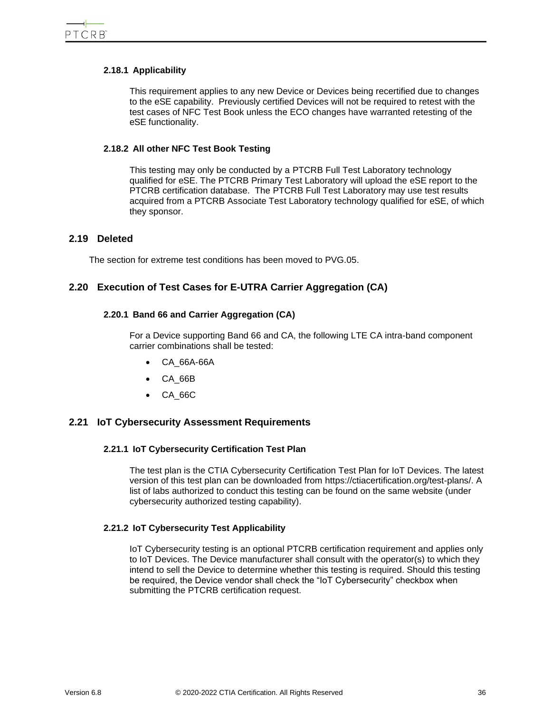#### <span id="page-35-0"></span>**2.18.1 Applicability**

This requirement applies to any new Device or Devices being recertified due to changes to the eSE capability. Previously certified Devices will not be required to retest with the test cases of NFC Test Book unless the ECO changes have warranted retesting of the eSE functionality.

#### <span id="page-35-1"></span>**2.18.2 All other NFC Test Book Testing**

This testing may only be conducted by a PTCRB Full Test Laboratory technology qualified for eSE. The PTCRB Primary Test Laboratory will upload the eSE report to the PTCRB certification database. The PTCRB Full Test Laboratory may use test results acquired from a PTCRB Associate Test Laboratory technology qualified for eSE, of which they sponsor.

## <span id="page-35-2"></span>**2.19 Deleted**

The section for extreme test conditions has been moved to PVG.05.

# <span id="page-35-4"></span><span id="page-35-3"></span>**2.20 Execution of Test Cases for E-UTRA Carrier Aggregation (CA)**

#### **2.20.1 Band 66 and Carrier Aggregation (CA)**

For a Device supporting Band 66 and CA, the following LTE CA intra-band component carrier combinations shall be tested:

- CA 66A-66A
- CA\_66B
- CA\_66C

## <span id="page-35-6"></span><span id="page-35-5"></span>**2.21 IoT Cybersecurity Assessment Requirements**

#### **2.21.1 IoT Cybersecurity Certification Test Plan**

The test plan is the CTIA Cybersecurity Certification Test Plan for IoT Devices. The latest version of this test plan can be downloaded from https://ctiacertification.org/test-plans/. A list of labs authorized to conduct this testing can be found on the same website (under cybersecurity authorized testing capability).

## <span id="page-35-7"></span>**2.21.2 IoT Cybersecurity Test Applicability**

IoT Cybersecurity testing is an optional PTCRB certification requirement and applies only to IoT Devices. The Device manufacturer shall consult with the operator(s) to which they intend to sell the Device to determine whether this testing is required. Should this testing be required, the Device vendor shall check the "IoT Cybersecurity" checkbox when submitting the PTCRB certification request.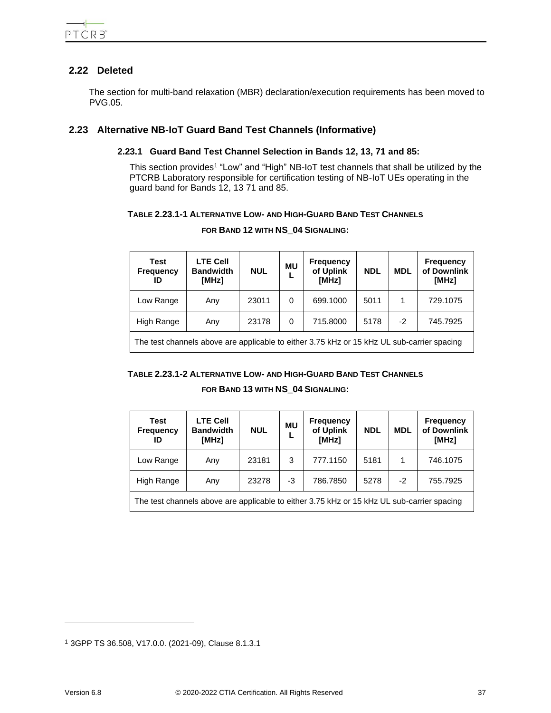# <span id="page-36-0"></span>**2.22 Deleted**

The section for multi-band relaxation (MBR) declaration/execution requirements has been moved to PVG.05.

# <span id="page-36-2"></span><span id="page-36-1"></span>**2.23 Alternative NB-IoT Guard Band Test Channels (Informative)**

## **2.23.1 Guard Band Test Channel Selection in Bands 12, 13, 71 and 85:**

This section provides<sup>1</sup> "Low" and "High" NB-IoT test channels that shall be utilized by the PTCRB Laboratory responsible for certification testing of NB-IoT UEs operating in the guard band for Bands 12, 13 71 and 85.

## <span id="page-36-3"></span>**TABLE 2.23.1-1 ALTERNATIVE LOW- AND HIGH-GUARD BAND TEST CHANNELS**

| Test<br><b>Frequency</b><br>ID | <b>LTE Cell</b><br><b>Bandwidth</b><br>[MHz] | <b>NUL</b> | <b>MU</b> | <b>Frequency</b><br>of Uplink<br>[MHz] | <b>NDL</b> | <b>MDL</b> | <b>Frequency</b><br>of Downlink<br>[MHz] |
|--------------------------------|----------------------------------------------|------------|-----------|----------------------------------------|------------|------------|------------------------------------------|
| Low Range                      | Any                                          | 23011      | 0         | 699.1000                               | 5011       |            | 729.1075                                 |
| High Range                     | Any                                          | 23178      | 0         | 715.8000                               | 5178       | $-2$       | 745.7925                                 |
|                                |                                              |            |           |                                        |            |            |                                          |

#### **FOR BAND 12 WITH NS\_04 SIGNALING:**

The test channels above are applicable to either 3.75 kHz or 15 kHz UL sub-carrier spacing

## <span id="page-36-4"></span>**TABLE 2.23.1-2 ALTERNATIVE LOW- AND HIGH-GUARD BAND TEST CHANNELS**

## **FOR BAND 13 WITH NS\_04 SIGNALING:**

| Test<br><b>Frequency</b><br>ID                                                             | <b>LTE Cell</b><br><b>Bandwidth</b><br>[MHz] | <b>NUL</b> | <b>MU</b> | <b>Frequency</b><br>of Uplink<br>[MHz] | <b>NDL</b> | <b>MDL</b> | <b>Frequency</b><br>of Downlink<br>[MHz] |
|--------------------------------------------------------------------------------------------|----------------------------------------------|------------|-----------|----------------------------------------|------------|------------|------------------------------------------|
| Low Range                                                                                  | Any                                          | 23181      | 3         | 777.1150                               | 5181       |            | 746.1075                                 |
| High Range                                                                                 | Any                                          | 23278      | -3        | 786.7850                               | 5278       | $-2$       | 755.7925                                 |
| The test channels above are applicable to either 3.75 kHz or 15 kHz UL sub-carrier spacing |                                              |            |           |                                        |            |            |                                          |

<sup>1</sup> 3GPP TS 36.508, V17.0.0. (2021-09), Clause 8.1.3.1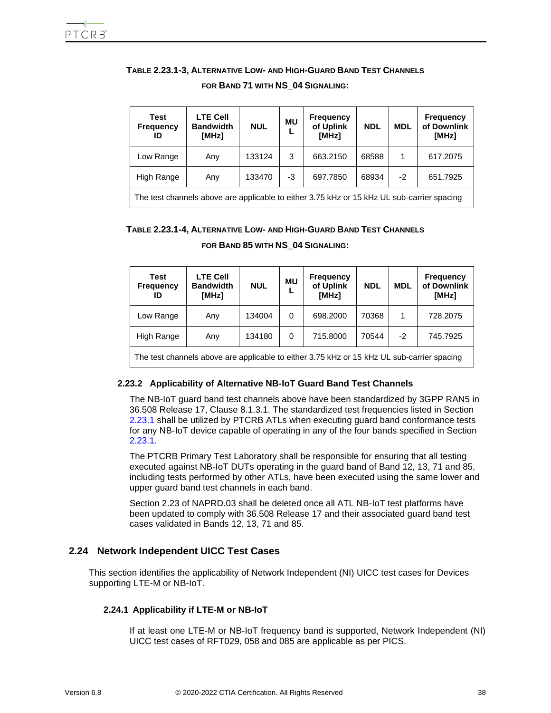## <span id="page-37-3"></span>**TABLE 2.23.1-3, ALTERNATIVE LOW- AND HIGH-GUARD BAND TEST CHANNELS**

| Test<br><b>Frequency</b><br>ID                                                             | <b>LTE Cell</b><br><b>Bandwidth</b><br>[MHz] | <b>NUL</b> | <b>MU</b> | <b>Frequency</b><br>of Uplink<br>[MHz] | <b>NDL</b> | <b>MDL</b> | <b>Frequency</b><br>of Downlink<br>[MHz] |
|--------------------------------------------------------------------------------------------|----------------------------------------------|------------|-----------|----------------------------------------|------------|------------|------------------------------------------|
| Low Range                                                                                  | Any                                          | 133124     | 3         | 663.2150                               | 68588      | 1          | 617.2075                                 |
| High Range                                                                                 | Any                                          | 133470     | -3        | 697.7850                               | 68934      | $-2$       | 651.7925                                 |
| The test channels above are applicable to either 3.75 kHz or 15 kHz UL sub-carrier spacing |                                              |            |           |                                        |            |            |                                          |

#### **FOR BAND 71 WITH NS\_04 SIGNALING:**

#### <span id="page-37-4"></span>**TABLE 2.23.1-4, ALTERNATIVE LOW- AND HIGH-GUARD BAND TEST CHANNELS**

| Test<br><b>Frequency</b><br>ID                                                               | <b>LTE Cell</b><br><b>Bandwidth</b><br>[MHz] | <b>NUL</b> | <b>MU</b> | <b>Frequency</b><br>of Uplink<br>[MHz] | <b>NDL</b> | <b>MDL</b> | <b>Frequency</b><br>of Downlink<br>[MHz] |
|----------------------------------------------------------------------------------------------|----------------------------------------------|------------|-----------|----------------------------------------|------------|------------|------------------------------------------|
| Low Range                                                                                    | Any                                          | 134004     | 0         | 698,2000                               | 70368      |            | 728.2075                                 |
| High Range                                                                                   | Any                                          | 134180     | 0         | 715.8000                               | 70544      | $-2$       | 745.7925                                 |
| The test channels above are applicable to either 3.75 kHz or 15 kHz III, sub-carrier spacing |                                              |            |           |                                        |            |            |                                          |

#### **FOR BAND 85 WITH NS\_04 SIGNALING:**

est channels above are applicable to either 3.75 kHz or 15 kHz UL sub-carrier spacing

#### <span id="page-37-0"></span>**2.23.2 Applicability of Alternative NB-IoT Guard Band Test Channels**

The NB-IoT guard band test channels above have been standardized by 3GPP RAN5 in 36.508 Release 17, Clause 8.1.3.1. The standardized test frequencies listed in Section [2.23.1](#page-36-2) shall be utilized by PTCRB ATLs when executing guard band conformance tests for any NB-IoT device capable of operating in any of the four bands specified in Section [2.23.1.](#page-36-2)

The PTCRB Primary Test Laboratory shall be responsible for ensuring that all testing executed against NB-IoT DUTs operating in the guard band of Band 12, 13, 71 and 85, including tests performed by other ATLs, have been executed using the same lower and upper guard band test channels in each band.

Section 2.23 of NAPRD.03 shall be deleted once all ATL NB-IoT test platforms have been updated to comply with 36.508 Release 17 and their associated guard band test cases validated in Bands 12, 13, 71 and 85.

## <span id="page-37-1"></span>**2.24 Network Independent UICC Test Cases**

<span id="page-37-2"></span>This section identifies the applicability of Network Independent (NI) UICC test cases for Devices supporting LTE-M or NB-IoT.

#### **2.24.1 Applicability if LTE-M or NB-IoT**

If at least one LTE-M or NB-IoT frequency band is supported, Network Independent (NI) UICC test cases of RFT029, 058 and 085 are applicable as per PICS.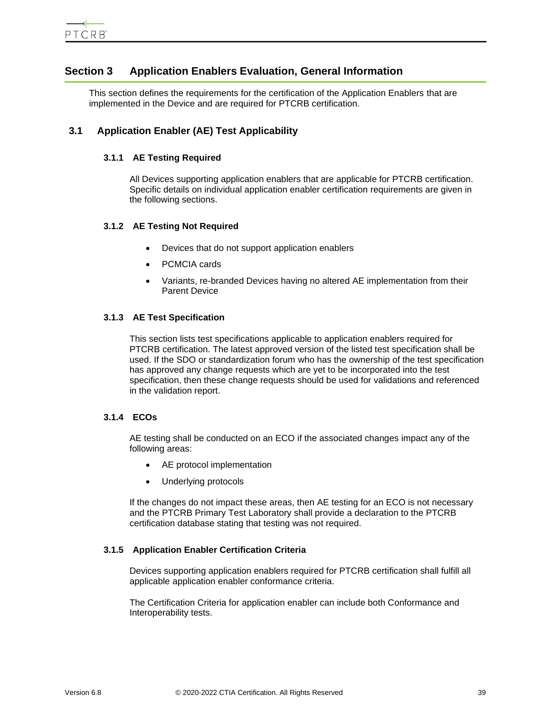# <span id="page-38-0"></span>**Section 3 Application Enablers Evaluation, General Information**

This section defines the requirements for the certification of the Application Enablers that are implemented in the Device and are required for PTCRB certification.

# <span id="page-38-2"></span><span id="page-38-1"></span>**3.1 Application Enabler (AE) Test Applicability**

## **3.1.1 AE Testing Required**

All Devices supporting application enablers that are applicable for PTCRB certification. Specific details on individual application enabler certification requirements are given in the following sections.

## <span id="page-38-3"></span>**3.1.2 AE Testing Not Required**

- Devices that do not support application enablers
- PCMCIA cards
- Variants, re-branded Devices having no altered AE implementation from their Parent Device

## <span id="page-38-4"></span>**3.1.3 AE Test Specification**

This section lists test specifications applicable to application enablers required for PTCRB certification. The latest approved version of the listed test specification shall be used. If the SDO or standardization forum who has the ownership of the test specification has approved any change requests which are yet to be incorporated into the test specification, then these change requests should be used for validations and referenced in the validation report.

## <span id="page-38-5"></span>**3.1.4 ECOs**

AE testing shall be conducted on an ECO if the associated changes impact any of the following areas:

- AE protocol implementation
- Underlying protocols

If the changes do not impact these areas, then AE testing for an ECO is not necessary and the PTCRB Primary Test Laboratory shall provide a declaration to the PTCRB certification database stating that testing was not required.

## <span id="page-38-6"></span>**3.1.5 Application Enabler Certification Criteria**

Devices supporting application enablers required for PTCRB certification shall fulfill all applicable application enabler conformance criteria.

The Certification Criteria for application enabler can include both Conformance and Interoperability tests.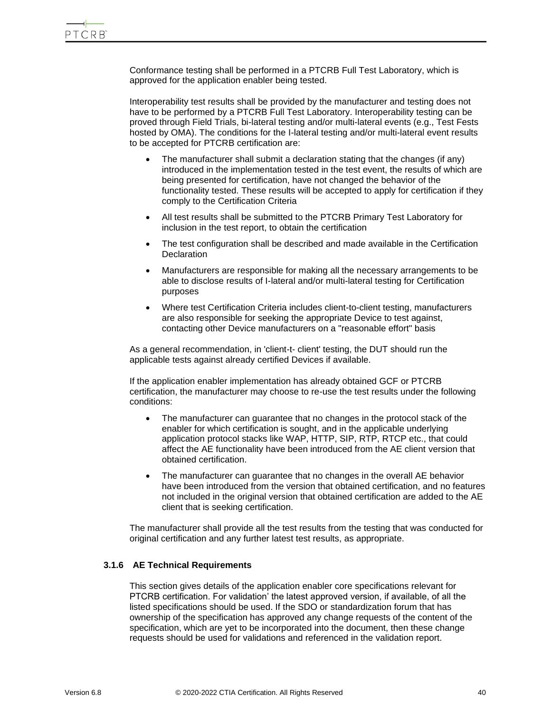Conformance testing shall be performed in a PTCRB Full Test Laboratory, which is approved for the application enabler being tested.

Interoperability test results shall be provided by the manufacturer and testing does not have to be performed by a PTCRB Full Test Laboratory. Interoperability testing can be proved through Field Trials, bi-lateral testing and/or multi-lateral events (e.g., Test Fests hosted by OMA). The conditions for the I-lateral testing and/or multi-lateral event results to be accepted for PTCRB certification are:

- The manufacturer shall submit a declaration stating that the changes (if any) introduced in the implementation tested in the test event, the results of which are being presented for certification, have not changed the behavior of the functionality tested. These results will be accepted to apply for certification if they comply to the Certification Criteria
- All test results shall be submitted to the PTCRB Primary Test Laboratory for inclusion in the test report, to obtain the certification
- The test configuration shall be described and made available in the Certification **Declaration**
- Manufacturers are responsible for making all the necessary arrangements to be able to disclose results of I-lateral and/or multi-lateral testing for Certification purposes
- Where test Certification Criteria includes client-to-client testing, manufacturers are also responsible for seeking the appropriate Device to test against, contacting other Device manufacturers on a "reasonable effort" basis

As a general recommendation, in 'client-t- client' testing, the DUT should run the applicable tests against already certified Devices if available.

If the application enabler implementation has already obtained GCF or PTCRB certification, the manufacturer may choose to re-use the test results under the following conditions:

- The manufacturer can guarantee that no changes in the protocol stack of the enabler for which certification is sought, and in the applicable underlying application protocol stacks like WAP, HTTP, SIP, RTP, RTCP etc., that could affect the AE functionality have been introduced from the AE client version that obtained certification.
- The manufacturer can guarantee that no changes in the overall AE behavior have been introduced from the version that obtained certification, and no features not included in the original version that obtained certification are added to the AE client that is seeking certification.

The manufacturer shall provide all the test results from the testing that was conducted for original certification and any further latest test results, as appropriate.

## <span id="page-39-0"></span>**3.1.6 AE Technical Requirements**

This section gives details of the application enabler core specifications relevant for PTCRB certification. For validation' the latest approved version, if available, of all the listed specifications should be used. If the SDO or standardization forum that has ownership of the specification has approved any change requests of the content of the specification, which are yet to be incorporated into the document, then these change requests should be used for validations and referenced in the validation report.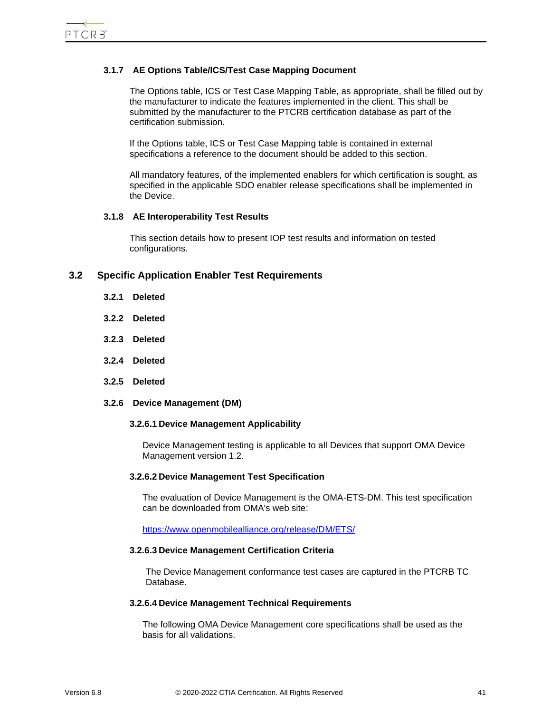## <span id="page-40-0"></span>**3.1.7 AE Options Table/ICS/Test Case Mapping Document**

The Options table, ICS or Test Case Mapping Table, as appropriate, shall be filled out by the manufacturer to indicate the features implemented in the client. This shall be submitted by the manufacturer to the PTCRB certification database as part of the certification submission.

If the Options table, ICS or Test Case Mapping table is contained in external specifications a reference to the document should be added to this section.

All mandatory features, of the implemented enablers for which certification is sought, as specified in the applicable SDO enabler release specifications shall be implemented in the Device.

#### <span id="page-40-1"></span>**3.1.8 AE Interoperability Test Results**

This section details how to present IOP test results and information on tested configurations.

## <span id="page-40-4"></span><span id="page-40-3"></span><span id="page-40-2"></span>**3.2 Specific Application Enabler Test Requirements**

- **3.2.1 Deleted**
- **3.2.2 Deleted**
- <span id="page-40-5"></span>**3.2.3 Deleted**
- <span id="page-40-6"></span>**3.2.4 Deleted**
- <span id="page-40-7"></span>**3.2.5 Deleted**
- <span id="page-40-8"></span>**3.2.6 Device Management (DM)**

#### **3.2.6.1 Device Management Applicability**

Device Management testing is applicable to all Devices that support OMA Device Management version 1.2.

#### **3.2.6.2 Device Management Test Specification**

The evaluation of Device Management is the OMA-ETS-DM. This test specification can be downloaded from OMA's web site:

https://www.openmobilealliance.org/release/DM/ETS/

#### **3.2.6.3 Device Management Certification Criteria**

The Device Management conformance test cases are captured in the PTCRB TC Database.

#### **3.2.6.4 Device Management Technical Requirements**

The following OMA Device Management core specifications shall be used as the basis for all validations.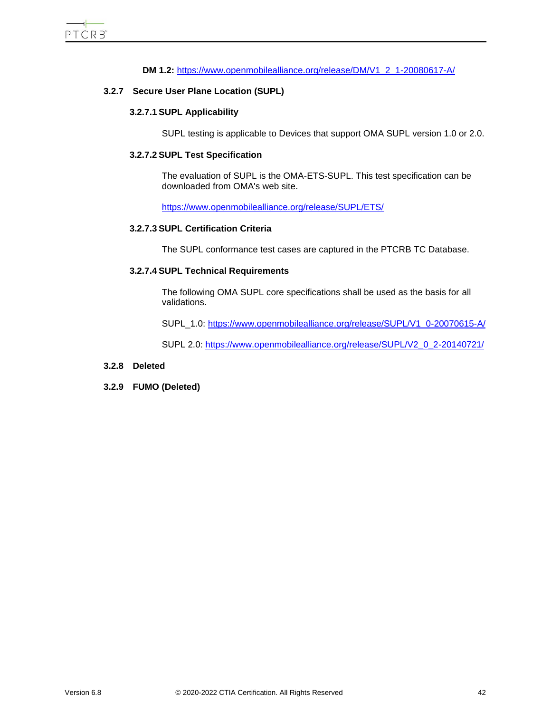## **DM 1.2:** [https://www.openmobilealliance.org/release/DM/V1\\_2\\_1-20080617-A/](https://www.openmobilealliance.org/release/DM/V1_2_1-20080617-A/)

#### <span id="page-41-0"></span>**3.2.7 Secure User Plane Location (SUPL)**

#### **3.2.7.1 SUPL Applicability**

SUPL testing is applicable to Devices that support OMA SUPL version 1.0 or 2.0.

#### **3.2.7.2 SUPL Test Specification**

The evaluation of SUPL is the OMA-ETS-SUPL. This test specification can be downloaded from OMA's web site.

<https://www.openmobilealliance.org/release/SUPL/ETS/>

### **3.2.7.3 SUPL Certification Criteria**

The SUPL conformance test cases are captured in the PTCRB TC Database.

#### **3.2.7.4 SUPL Technical Requirements**

The following OMA SUPL core specifications shall be used as the basis for all validations.

SUPL\_1.0: [https://www.openmobilealliance.org/release/SUPL/V1\\_0-20070615-A/](https://www.openmobilealliance.org/release/SUPL/V1_0-20070615-A/)

SUPL 2.0: [https://www.openmobilealliance.org/release/SUPL/V2\\_0\\_2-20140721/](https://www.openmobilealliance.org/release/SUPL/V2_0_2-20140721/)

#### <span id="page-41-1"></span>**3.2.8 Deleted**

<span id="page-41-2"></span>**3.2.9 FUMO (Deleted)**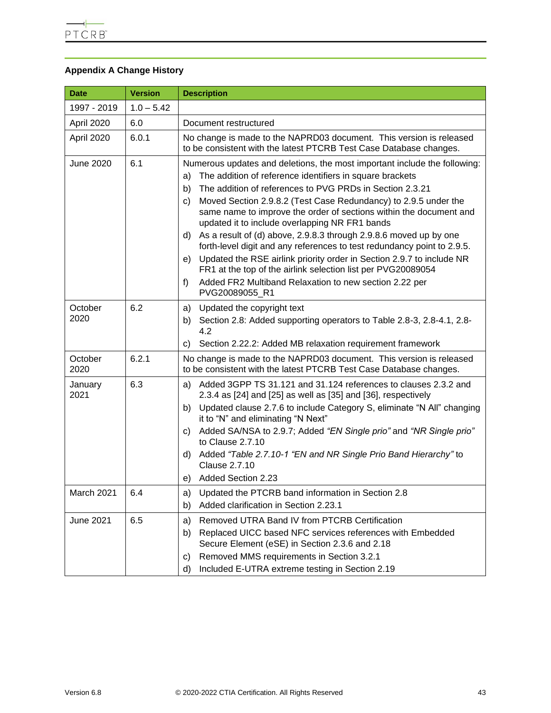# <span id="page-42-0"></span>**Appendix A Change History**

| <b>Date</b>      | <b>Version</b> | <b>Description</b>                                                                                                                                                                                                                                                                                                                                                                                                                                                                                                                                                                                                                                                                                                                                                                                     |  |  |  |  |  |
|------------------|----------------|--------------------------------------------------------------------------------------------------------------------------------------------------------------------------------------------------------------------------------------------------------------------------------------------------------------------------------------------------------------------------------------------------------------------------------------------------------------------------------------------------------------------------------------------------------------------------------------------------------------------------------------------------------------------------------------------------------------------------------------------------------------------------------------------------------|--|--|--|--|--|
| 1997 - 2019      | $1.0 - 5.42$   |                                                                                                                                                                                                                                                                                                                                                                                                                                                                                                                                                                                                                                                                                                                                                                                                        |  |  |  |  |  |
| April 2020       | 6.0            | Document restructured                                                                                                                                                                                                                                                                                                                                                                                                                                                                                                                                                                                                                                                                                                                                                                                  |  |  |  |  |  |
| April 2020       | 6.0.1          | No change is made to the NAPRD03 document. This version is released<br>to be consistent with the latest PTCRB Test Case Database changes.                                                                                                                                                                                                                                                                                                                                                                                                                                                                                                                                                                                                                                                              |  |  |  |  |  |
| <b>June 2020</b> | 6.1            | Numerous updates and deletions, the most important include the following:<br>The addition of reference identifiers in square brackets<br>a)<br>The addition of references to PVG PRDs in Section 2.3.21<br>b)<br>Moved Section 2.9.8.2 (Test Case Redundancy) to 2.9.5 under the<br>C)<br>same name to improve the order of sections within the document and<br>updated it to include overlapping NR FR1 bands<br>As a result of (d) above, 2.9.8.3 through 2.9.8.6 moved up by one<br>d).<br>forth-level digit and any references to test redundancy point to 2.9.5.<br>Updated the RSE airlink priority order in Section 2.9.7 to include NR<br>e)<br>FR1 at the top of the airlink selection list per PVG20089054<br>Added FR2 Multiband Relaxation to new section 2.22 per<br>f)<br>PVG20089055 R1 |  |  |  |  |  |
| October<br>2020  | 6.2            | Updated the copyright text<br>a)<br>Section 2.8: Added supporting operators to Table 2.8-3, 2.8-4.1, 2.8-<br>b)<br>4.2<br>Section 2.22.2: Added MB relaxation requirement framework<br>C)                                                                                                                                                                                                                                                                                                                                                                                                                                                                                                                                                                                                              |  |  |  |  |  |
| October<br>2020  | 6.2.1          | No change is made to the NAPRD03 document. This version is released<br>to be consistent with the latest PTCRB Test Case Database changes.                                                                                                                                                                                                                                                                                                                                                                                                                                                                                                                                                                                                                                                              |  |  |  |  |  |
| January<br>2021  | 6.3            | Added 3GPP TS 31.121 and 31.124 references to clauses 2.3.2 and<br>a)<br>2.3.4 as [24] and [25] as well as [35] and [36], respectively<br>b) Updated clause 2.7.6 to include Category S, eliminate "N All" changing<br>it to "N" and eliminating "N Next"<br>Added SA/NSA to 2.9.7; Added "EN Single prio" and "NR Single prio"<br>C)<br>to Clause 2.7.10<br>Added "Table 2.7.10-1 "EN and NR Single Prio Band Hierarchy" to<br>d)<br><b>Clause 2.7.10</b><br>e) Added Section 2.23                                                                                                                                                                                                                                                                                                                    |  |  |  |  |  |
| March 2021       | 6.4            | Updated the PTCRB band information in Section 2.8<br>a)<br>Added clarification in Section 2.23.1<br>b)                                                                                                                                                                                                                                                                                                                                                                                                                                                                                                                                                                                                                                                                                                 |  |  |  |  |  |
| <b>June 2021</b> | 6.5            | Removed UTRA Band IV from PTCRB Certification<br>a)<br>Replaced UICC based NFC services references with Embedded<br>b)<br>Secure Element (eSE) in Section 2.3.6 and 2.18<br>Removed MMS requirements in Section 3.2.1<br>C)<br>Included E-UTRA extreme testing in Section 2.19<br>d)                                                                                                                                                                                                                                                                                                                                                                                                                                                                                                                   |  |  |  |  |  |